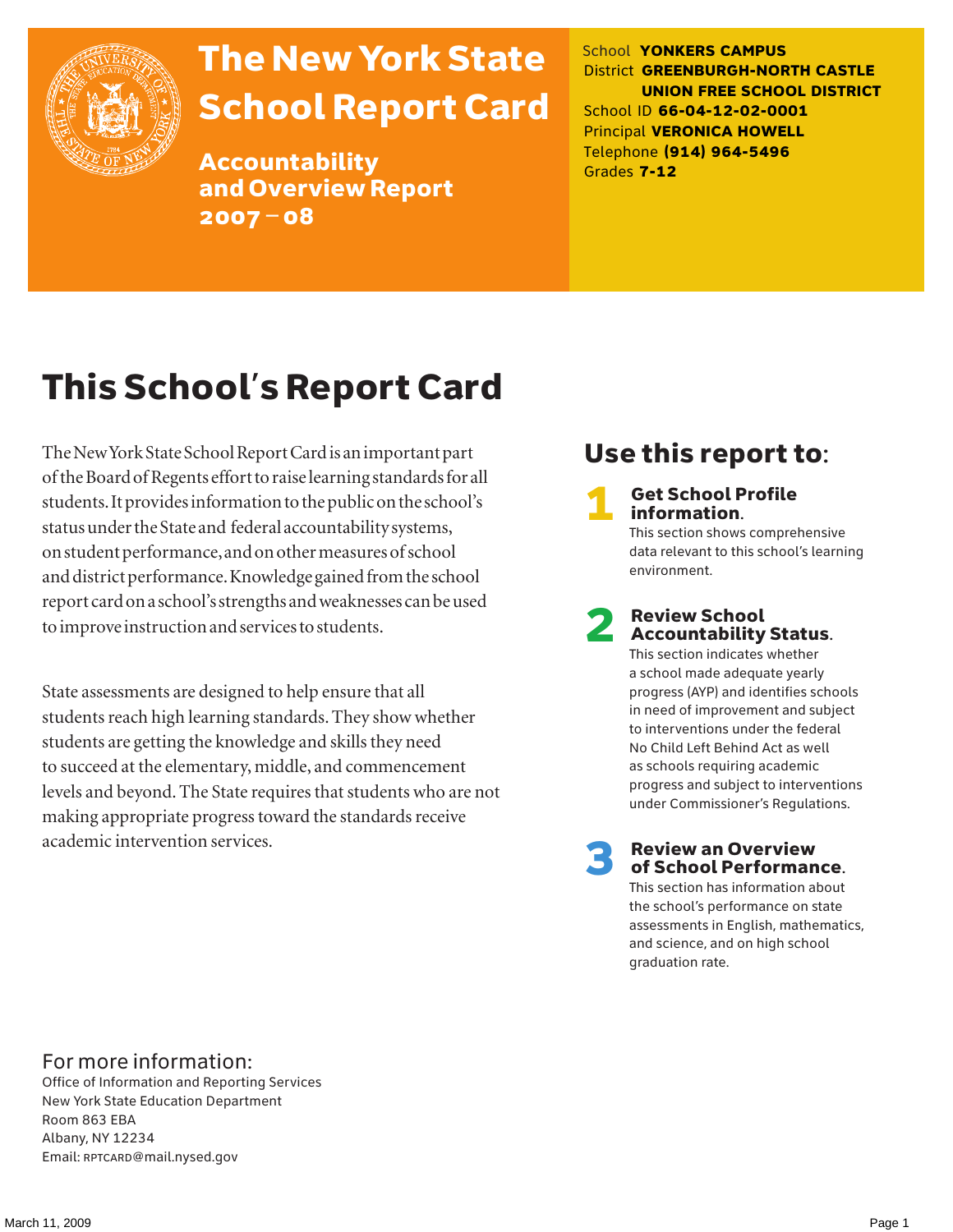

# The New York State School Report Card

Accountability and Overview Report 2007–08

School **YONKERS CAMPUS** District **GREENBURGH-NORTH CASTLE UNION FREE SCHOOL DISTRICT** School ID **66-04-12-02-0001** Principal **VERONICA HOWELL** Telephone **(914) 964-5496** Grades **7-12**

# This School's Report Card

The New York State School Report Card is an important part of the Board of Regents effort to raise learning standards for all students. It provides information to the public on the school's status under the State and federal accountability systems, on student performance, and on other measures of school and district performance. Knowledge gained from the school report card on a school's strengths and weaknesses can be used to improve instruction and services to students.

State assessments are designed to help ensure that all students reach high learning standards. They show whether students are getting the knowledge and skills they need to succeed at the elementary, middle, and commencement levels and beyond. The State requires that students who are not making appropriate progress toward the standards receive academic intervention services.

## Use this report to:

**Get School Profile** information.

This section shows comprehensive data relevant to this school's learning environment.

# 2 Review School Accountability Status.

This section indicates whether a school made adequate yearly progress (AYP) and identifies schools in need of improvement and subject to interventions under the federal No Child Left Behind Act as well as schools requiring academic progress and subject to interventions under Commissioner's Regulations.

**Review an Overview** of School Performance.

This section has information about the school's performance on state assessments in English, mathematics, and science, and on high school graduation rate.

### For more information:

Office of Information and Reporting Services New York State Education Department Room 863 EBA Albany, NY 12234 Email: RPTCARD@mail.nysed.gov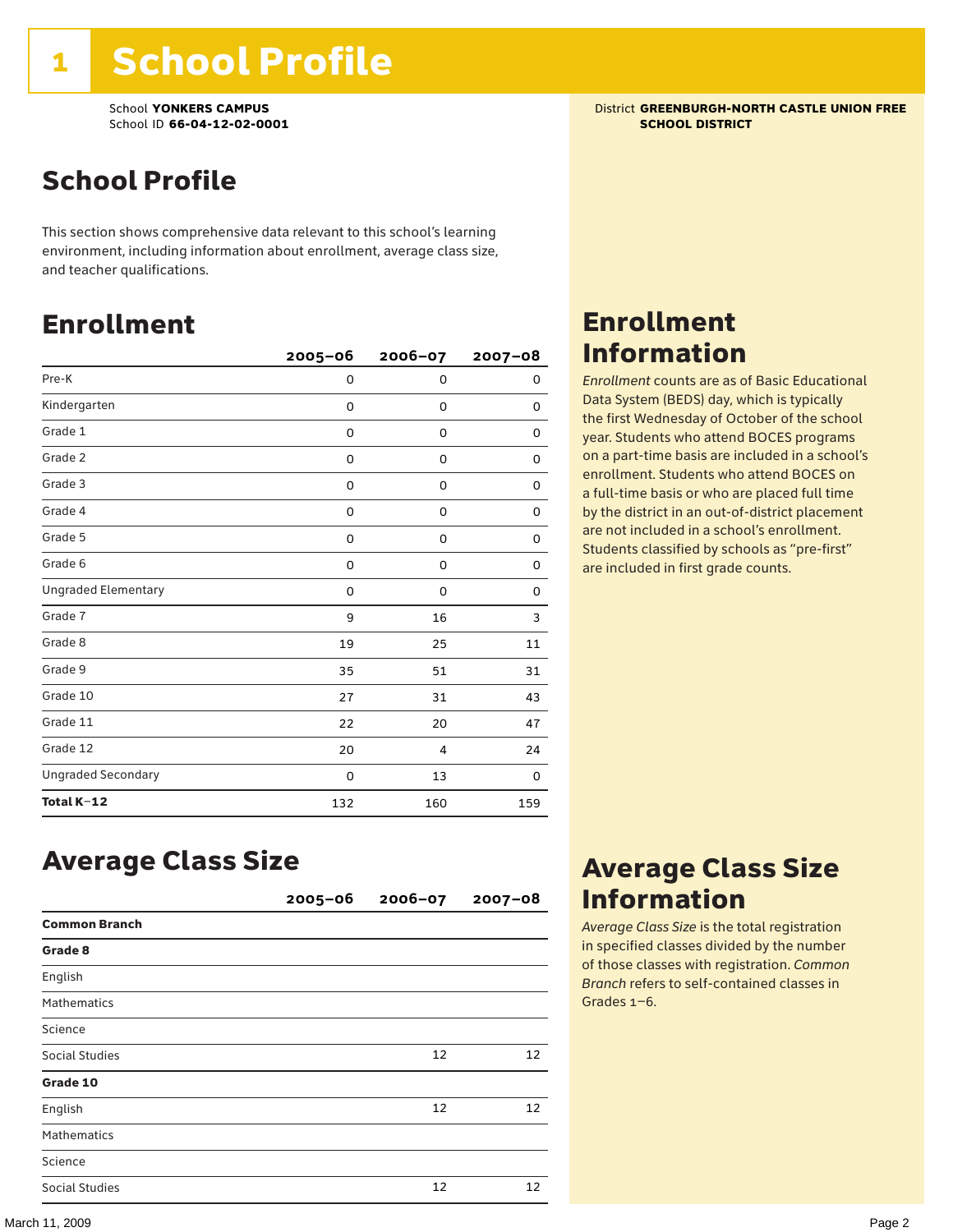## School Profile

This section shows comprehensive data relevant to this school's learning environment, including information about enrollment, average class size, and teacher qualifications.

### Enrollment

|                            | $2005 - 06$ | 2006-07     | $2007 - 08$ |
|----------------------------|-------------|-------------|-------------|
| Pre-K                      | 0           | $\mathbf 0$ | 0           |
| Kindergarten               | 0           | $\mathbf 0$ | 0           |
| Grade 1                    | 0           | 0           | 0           |
| Grade 2                    | 0           | 0           | 0           |
| Grade 3                    | 0           | 0           | 0           |
| Grade 4                    | 0           | 0           | 0           |
| Grade 5                    | 0           | 0           | 0           |
| Grade 6                    | 0           | 0           | 0           |
| <b>Ungraded Elementary</b> | 0           | $\Omega$    | 0           |
| Grade 7                    | 9           | 16          | 3           |
| Grade 8                    | 19          | 25          | 11          |
| Grade 9                    | 35          | 51          | 31          |
| Grade 10                   | 27          | 31          | 43          |
| Grade 11                   | 22          | 20          | 47          |
| Grade 12                   | 20          | 4           | 24          |
| <b>Ungraded Secondary</b>  | 0           | 13          | 0           |
| Total K-12                 | 132         | 160         | 159         |

### Average Class Size

|                      | $2005 - 06$ | $2006 - 07$ | $2007 - 08$ |
|----------------------|-------------|-------------|-------------|
| <b>Common Branch</b> |             |             |             |
| Grade 8              |             |             |             |
| English              |             |             |             |
| <b>Mathematics</b>   |             |             |             |
| Science              |             |             |             |
| Social Studies       |             | 12          | 12          |
| Grade 10             |             |             |             |
| English              |             | 12          | 12          |
| <b>Mathematics</b>   |             |             |             |
| Science              |             |             |             |
| Social Studies       |             | 12          | 12          |

School **YONKERS CAMPUS**<br>
School ID 66-04-12-02-0001<br>
School ID 66-04-12-02-0001

### Enrollment Information

*Enrollment* counts are as of Basic Educational Data System (BEDS) day, which is typically the first Wednesday of October of the school year. Students who attend BOCES programs on a part-time basis are included in a school's enrollment. Students who attend BOCES on a full-time basis or who are placed full time by the district in an out-of-district placement are not included in a school's enrollment. Students classified by schools as "pre-first" are included in first grade counts.

### Average Class Size Information

*Average Class Size* is the total registration in specified classes divided by the number of those classes with registration. *Common Branch* refers to self-contained classes in Grades 1–6.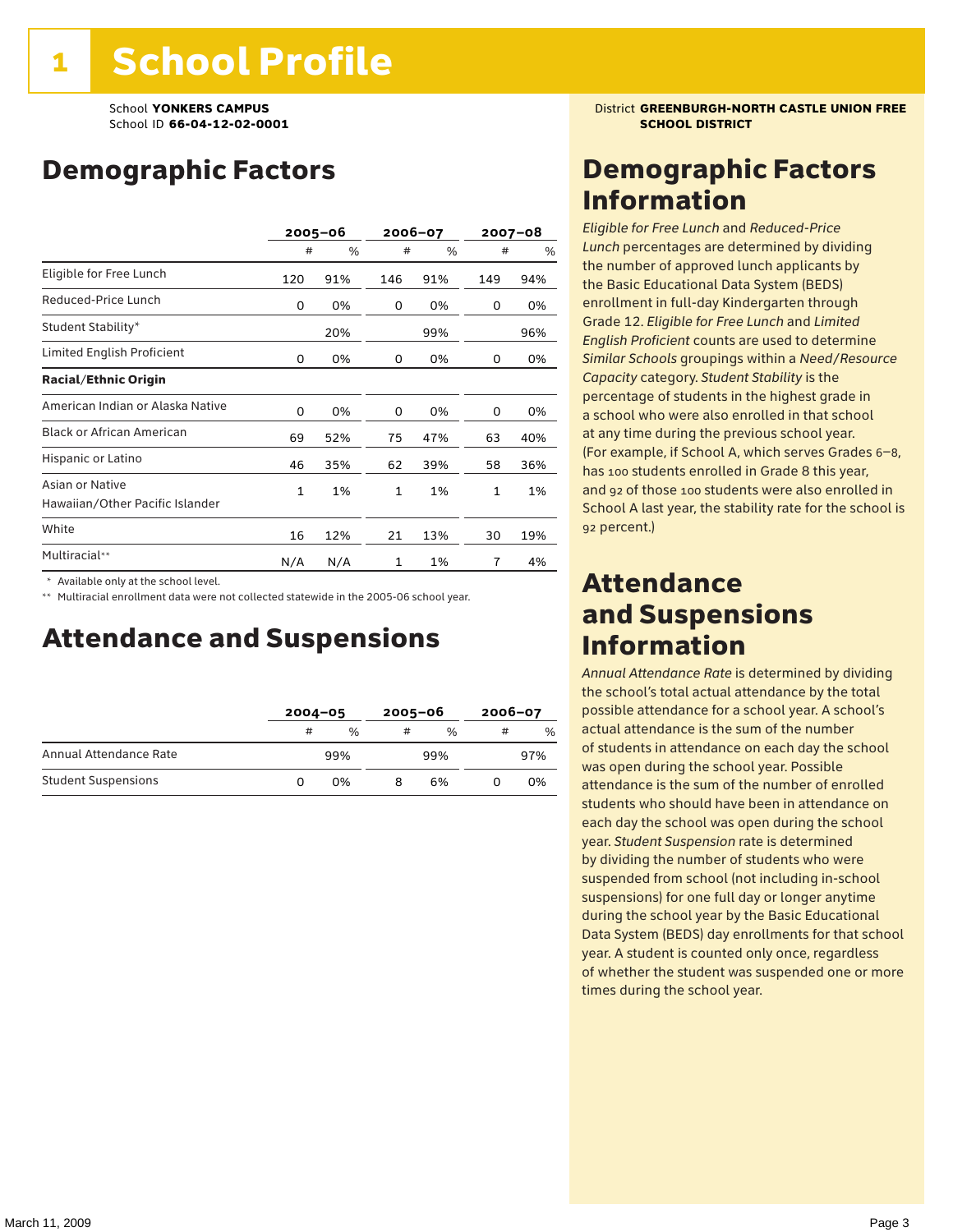## Demographic Factors

|                                                    |              | $2005 - 06$ | 2006-07      |     | 2007-08 |     |
|----------------------------------------------------|--------------|-------------|--------------|-----|---------|-----|
|                                                    | #            | %           | #            | %   | #       | %   |
| Eligible for Free Lunch                            | 120          | 91%         | 146          | 91% | 149     | 94% |
| Reduced-Price Lunch                                | 0            | 0%          | 0            | 0%  | 0       | 0%  |
| Student Stability*                                 |              | 20%         |              | 99% |         | 96% |
| Limited English Proficient                         | 0            | 0%          | 0            | 0%  | 0       | 0%  |
| <b>Racial/Ethnic Origin</b>                        |              |             |              |     |         |     |
| American Indian or Alaska Native                   | 0            | 0%          | 0            | 0%  | 0       | 0%  |
| <b>Black or African American</b>                   | 69           | 52%         | 75           | 47% | 63      | 40% |
| Hispanic or Latino                                 | 46           | 35%         | 62           | 39% | 58      | 36% |
| Asian or Native<br>Hawaiian/Other Pacific Islander | $\mathbf{1}$ | 1%          | $\mathbf{1}$ | 1%  | 1       | 1%  |
| White                                              | 16           | 12%         | 21           | 13% | 30      | 19% |
| Multiracial**                                      | N/A          | N/A         | $\mathbf{1}$ | 1%  | 7       | 4%  |

\* Available only at the school level.

\*\* Multiracial enrollment data were not collected statewide in the 2005-06 school year.

### Attendance and Suspensions

|                            |   | $2004 - 05$   |   | $2005 - 06$   |   | $2006 - 07$ |  |
|----------------------------|---|---------------|---|---------------|---|-------------|--|
|                            | # | $\frac{0}{0}$ | # | $\frac{0}{6}$ | # | %           |  |
| Annual Attendance Rate     |   | 99%           |   | 99%           |   | 97%         |  |
| <b>Student Suspensions</b> | O | 0%            |   | 6%            |   | 0%          |  |

### **School YONKERS CAMPUS District GREENBURGH-NORTH CASTLE UNION FREE**

### Demographic Factors Information

*Eligible for Free Lunch* and *Reduced*-*Price Lunch* percentages are determined by dividing the number of approved lunch applicants by the Basic Educational Data System (BEDS) enrollment in full-day Kindergarten through Grade 12. *Eligible for Free Lunch* and *Limited English Proficient* counts are used to determine *Similar Schools* groupings within a *Need*/*Resource Capacity* category. *Student Stability* is the percentage of students in the highest grade in a school who were also enrolled in that school at any time during the previous school year. (For example, if School A, which serves Grades 6–8, has 100 students enrolled in Grade 8 this year, and 92 of those 100 students were also enrolled in School A last year, the stability rate for the school is 92 percent.)

### Attendance and Suspensions Information

*Annual Attendance Rate* is determined by dividing the school's total actual attendance by the total possible attendance for a school year. A school's actual attendance is the sum of the number of students in attendance on each day the school was open during the school year. Possible attendance is the sum of the number of enrolled students who should have been in attendance on each day the school was open during the school year. *Student Suspension* rate is determined by dividing the number of students who were suspended from school (not including in-school suspensions) for one full day or longer anytime during the school year by the Basic Educational Data System (BEDS) day enrollments for that school year. A student is counted only once, regardless of whether the student was suspended one or more times during the school year.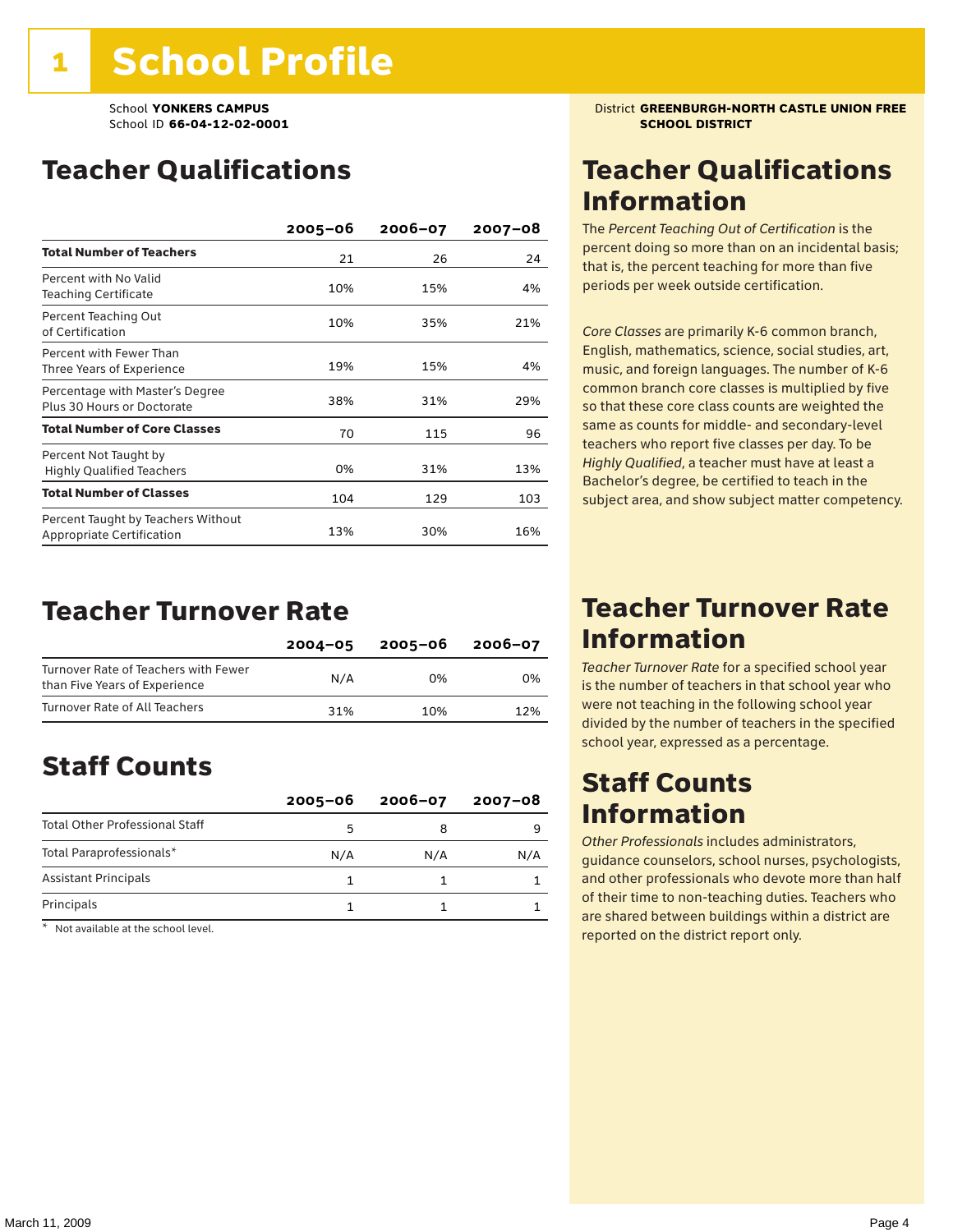## Teacher Qualifications

|                                                                 | $2005 - 06$ | $2006 - 07$ | $2007 - 08$ |
|-----------------------------------------------------------------|-------------|-------------|-------------|
| <b>Total Number of Teachers</b>                                 | 21          | 26          | 24          |
| Percent with No Valid<br><b>Teaching Certificate</b>            | 10%         | 15%         | 4%          |
| Percent Teaching Out<br>of Certification                        | 10%         | 35%         | 21%         |
| Percent with Fewer Than<br>Three Years of Experience            | 19%         | 15%         | 4%          |
| Percentage with Master's Degree<br>Plus 30 Hours or Doctorate   | 38%         | 31%         | 29%         |
| <b>Total Number of Core Classes</b>                             | 70          | 115         | 96          |
| Percent Not Taught by<br><b>Highly Qualified Teachers</b>       | 0%          | 31%         | 13%         |
| <b>Total Number of Classes</b>                                  | 104         | 129         | 103         |
| Percent Taught by Teachers Without<br>Appropriate Certification | 13%         | 30%         | 16%         |

### Teacher Turnover Rate

|                                                                       | $2004 - 05$ | 2005-06 | 2006-07 |
|-----------------------------------------------------------------------|-------------|---------|---------|
| Turnover Rate of Teachers with Fewer<br>than Five Years of Experience | N/A         | በ%      | 0%      |
| Turnover Rate of All Teachers                                         | 31%         | 10%     | 12%     |

## Staff Counts

|                                       | $2005 - 06$ | $2006 - 07$ | 2007-08 |
|---------------------------------------|-------------|-------------|---------|
| <b>Total Other Professional Staff</b> |             |             |         |
| Total Paraprofessionals*              | N/A         | N/A         | N/A     |
| <b>Assistant Principals</b>           |             |             |         |
| Principals                            |             |             |         |

\* Not available at the school level.

### School **YONKERS CAMPUS**<br>
School ID 66-04-12-02-0001<br>
SCHOOL DISTRICT

## Teacher Qualifications Information

The *Percent Teaching Out of Certification* is the percent doing so more than on an incidental basis; that is, the percent teaching for more than five periods per week outside certification.

*Core Classes* are primarily K-6 common branch, English, mathematics, science, social studies, art, music, and foreign languages. The number of K-6 common branch core classes is multiplied by five so that these core class counts are weighted the same as counts for middle- and secondary-level teachers who report five classes per day. To be *Highly Qualified*, a teacher must have at least a Bachelor's degree, be certified to teach in the subject area, and show subject matter competency.

### Teacher Turnover Rate Information

*Teacher Turnover Rate* for a specified school year is the number of teachers in that school year who were not teaching in the following school year divided by the number of teachers in the specified school year, expressed as a percentage.

### Staff Counts Information

*Other Professionals* includes administrators, guidance counselors, school nurses, psychologists, and other professionals who devote more than half of their time to non-teaching duties. Teachers who are shared between buildings within a district are reported on the district report only.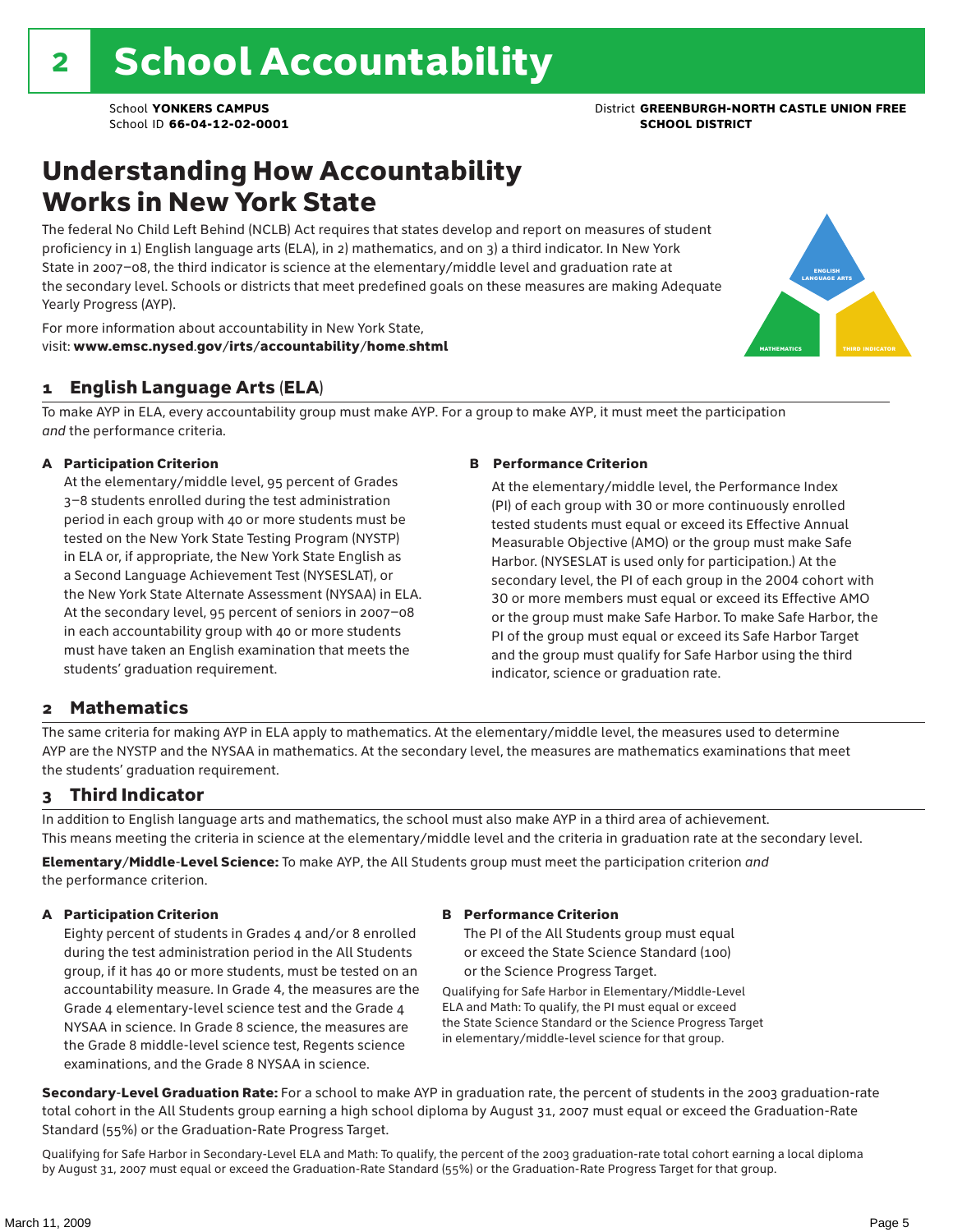## Understanding How Accountability Works in New York State

The federal No Child Left Behind (NCLB) Act requires that states develop and report on measures of student proficiency in 1) English language arts (ELA), in 2) mathematics, and on 3) a third indicator. In New York State in 2007–08, the third indicator is science at the elementary/middle level and graduation rate at the secondary level. Schools or districts that meet predefined goals on these measures are making Adequate Yearly Progress (AYP).



For more information about accountability in New York State, visit: www.emsc.nysed.gov/irts/accountability/home.shtml

#### 1 English Language Arts (ELA)

To make AYP in ELA, every accountability group must make AYP. For a group to make AYP, it must meet the participation *and* the performance criteria.

#### A Participation Criterion

At the elementary/middle level, 95 percent of Grades 3–8 students enrolled during the test administration period in each group with 40 or more students must be tested on the New York State Testing Program (NYSTP) in ELA or, if appropriate, the New York State English as a Second Language Achievement Test (NYSESLAT), or the New York State Alternate Assessment (NYSAA) in ELA. At the secondary level, 95 percent of seniors in 2007–08 in each accountability group with 40 or more students must have taken an English examination that meets the students' graduation requirement.

#### B Performance Criterion

At the elementary/middle level, the Performance Index (PI) of each group with 30 or more continuously enrolled tested students must equal or exceed its Effective Annual Measurable Objective (AMO) or the group must make Safe Harbor. (NYSESLAT is used only for participation.) At the secondary level, the PI of each group in the 2004 cohort with 30 or more members must equal or exceed its Effective AMO or the group must make Safe Harbor. To make Safe Harbor, the PI of the group must equal or exceed its Safe Harbor Target and the group must qualify for Safe Harbor using the third indicator, science or graduation rate.

#### 2 Mathematics

The same criteria for making AYP in ELA apply to mathematics. At the elementary/middle level, the measures used to determine AYP are the NYSTP and the NYSAA in mathematics. At the secondary level, the measures are mathematics examinations that meet the students' graduation requirement.

#### 3 Third Indicator

In addition to English language arts and mathematics, the school must also make AYP in a third area of achievement. This means meeting the criteria in science at the elementary/middle level and the criteria in graduation rate at the secondary level.

Elementary/Middle-Level Science: To make AYP, the All Students group must meet the participation criterion *and* the performance criterion.

#### A Participation Criterion

Eighty percent of students in Grades 4 and/or 8 enrolled during the test administration period in the All Students group, if it has 40 or more students, must be tested on an accountability measure. In Grade 4, the measures are the Grade 4 elementary-level science test and the Grade 4 NYSAA in science. In Grade 8 science, the measures are the Grade 8 middle-level science test, Regents science examinations, and the Grade 8 NYSAA in science.

#### B Performance Criterion

The PI of the All Students group must equal or exceed the State Science Standard (100) or the Science Progress Target.

Qualifying for Safe Harbor in Elementary/Middle-Level ELA and Math: To qualify, the PI must equal or exceed the State Science Standard or the Science Progress Target in elementary/middle-level science for that group.

Secondary-Level Graduation Rate: For a school to make AYP in graduation rate, the percent of students in the 2003 graduation-rate total cohort in the All Students group earning a high school diploma by August 31, 2007 must equal or exceed the Graduation-Rate Standard (55%) or the Graduation-Rate Progress Target.

Qualifying for Safe Harbor in Secondary-Level ELA and Math: To qualify, the percent of the 2003 graduation-rate total cohort earning a local diploma by August 31, 2007 must equal or exceed the Graduation-Rate Standard (55%) or the Graduation-Rate Progress Target for that group.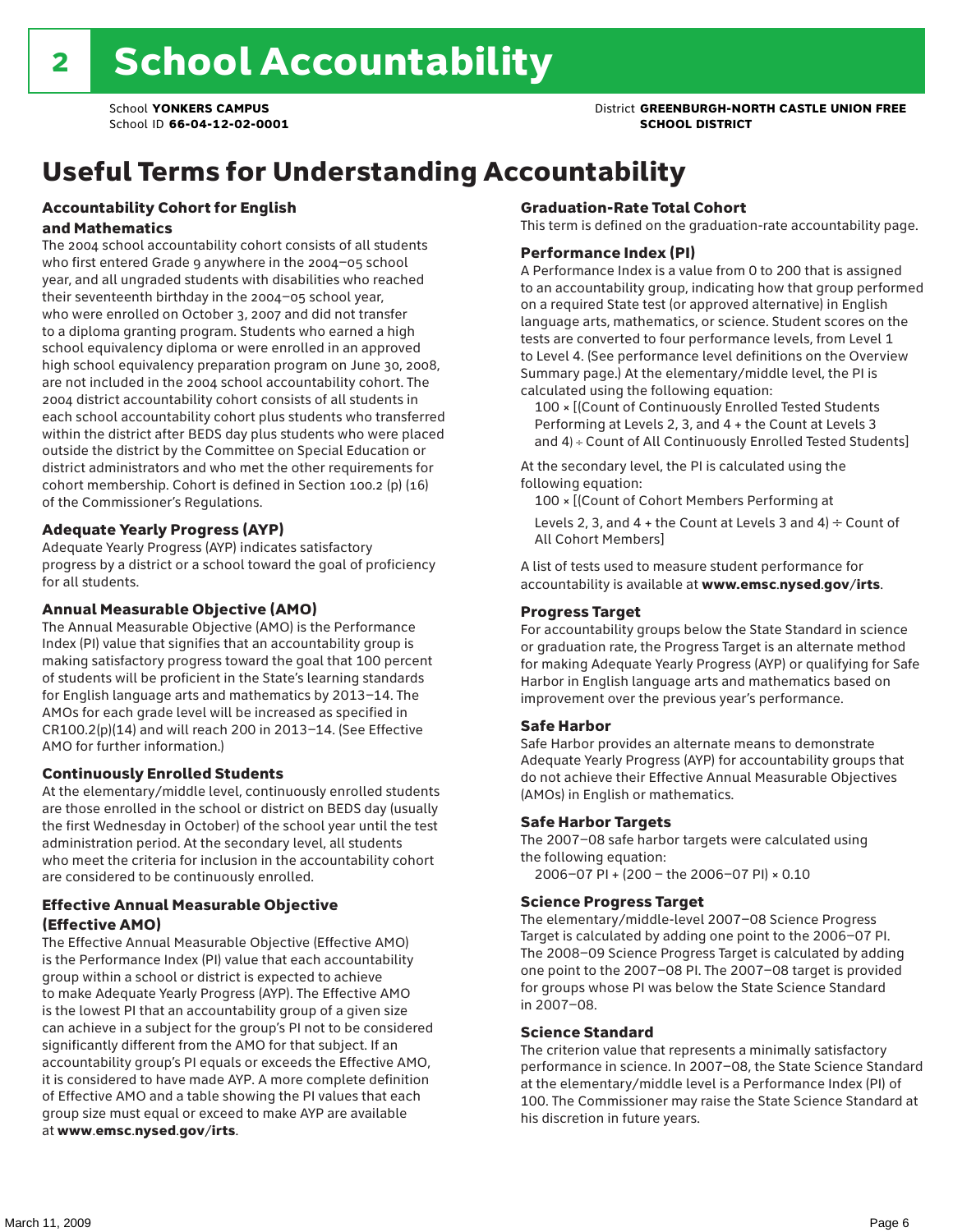### School **YONKERS CAMPUS** District **GREENBURGH-NORTH CASTLE UNION FREE**

## Useful Terms for Understanding Accountability

#### Accountability Cohort for English and Mathematics

The 2004 school accountability cohort consists of all students who first entered Grade 9 anywhere in the 2004–05 school year, and all ungraded students with disabilities who reached their seventeenth birthday in the 2004–05 school year, who were enrolled on October 3, 2007 and did not transfer to a diploma granting program. Students who earned a high school equivalency diploma or were enrolled in an approved high school equivalency preparation program on June 30, 2008, are not included in the 2004 school accountability cohort. The 2004 district accountability cohort consists of all students in each school accountability cohort plus students who transferred within the district after BEDS day plus students who were placed outside the district by the Committee on Special Education or district administrators and who met the other requirements for cohort membership. Cohort is defined in Section 100.2 (p) (16) of the Commissioner's Regulations.

#### Adequate Yearly Progress (AYP)

Adequate Yearly Progress (AYP) indicates satisfactory progress by a district or a school toward the goal of proficiency for all students.

#### Annual Measurable Objective (AMO)

The Annual Measurable Objective (AMO) is the Performance Index (PI) value that signifies that an accountability group is making satisfactory progress toward the goal that 100 percent of students will be proficient in the State's learning standards for English language arts and mathematics by 2013–14. The AMOs for each grade level will be increased as specified in CR100.2(p)(14) and will reach 200 in 2013–14. (See Effective AMO for further information.)

#### Continuously Enrolled Students

At the elementary/middle level, continuously enrolled students are those enrolled in the school or district on BEDS day (usually the first Wednesday in October) of the school year until the test administration period. At the secondary level, all students who meet the criteria for inclusion in the accountability cohort are considered to be continuously enrolled.

#### Effective Annual Measurable Objective (Effective AMO)

The Effective Annual Measurable Objective (Effective AMO) is the Performance Index (PI) value that each accountability group within a school or district is expected to achieve to make Adequate Yearly Progress (AYP). The Effective AMO is the lowest PI that an accountability group of a given size can achieve in a subject for the group's PI not to be considered significantly different from the AMO for that subject. If an accountability group's PI equals or exceeds the Effective AMO, it is considered to have made AYP. A more complete definition of Effective AMO and a table showing the PI values that each group size must equal or exceed to make AYP are available at www.emsc.nysed.gov/irts.

#### Graduation-Rate Total Cohort

This term is defined on the graduation-rate accountability page.

#### Performance Index (PI)

A Performance Index is a value from 0 to 200 that is assigned to an accountability group, indicating how that group performed on a required State test (or approved alternative) in English language arts, mathematics, or science. Student scores on the tests are converted to four performance levels, from Level 1 to Level 4. (See performance level definitions on the Overview Summary page.) At the elementary/middle level, the PI is calculated using the following equation:

100 × [(Count of Continuously Enrolled Tested Students Performing at Levels 2, 3, and 4 + the Count at Levels 3 and 4) ÷ Count of All Continuously Enrolled Tested Students]

At the secondary level, the PI is calculated using the following equation:

100 × [(Count of Cohort Members Performing at

Levels 2, 3, and 4 + the Count at Levels 3 and 4)  $\div$  Count of All Cohort Members]

A list of tests used to measure student performance for accountability is available at www.emsc.nysed.gov/irts.

#### Progress Target

For accountability groups below the State Standard in science or graduation rate, the Progress Target is an alternate method for making Adequate Yearly Progress (AYP) or qualifying for Safe Harbor in English language arts and mathematics based on improvement over the previous year's performance.

#### Safe Harbor

Safe Harbor provides an alternate means to demonstrate Adequate Yearly Progress (AYP) for accountability groups that do not achieve their Effective Annual Measurable Objectives (AMOs) in English or mathematics.

#### Safe Harbor Targets

The 2007–08 safe harbor targets were calculated using the following equation:

2006–07 PI + (200 – the 2006–07 PI) × 0.10

#### Science Progress Target

The elementary/middle-level 2007–08 Science Progress Target is calculated by adding one point to the 2006–07 PI. The 2008–09 Science Progress Target is calculated by adding one point to the 2007–08 PI. The 2007–08 target is provided for groups whose PI was below the State Science Standard in 2007–08.

#### Science Standard

The criterion value that represents a minimally satisfactory performance in science. In 2007–08, the State Science Standard at the elementary/middle level is a Performance Index (PI) of 100. The Commissioner may raise the State Science Standard at his discretion in future years.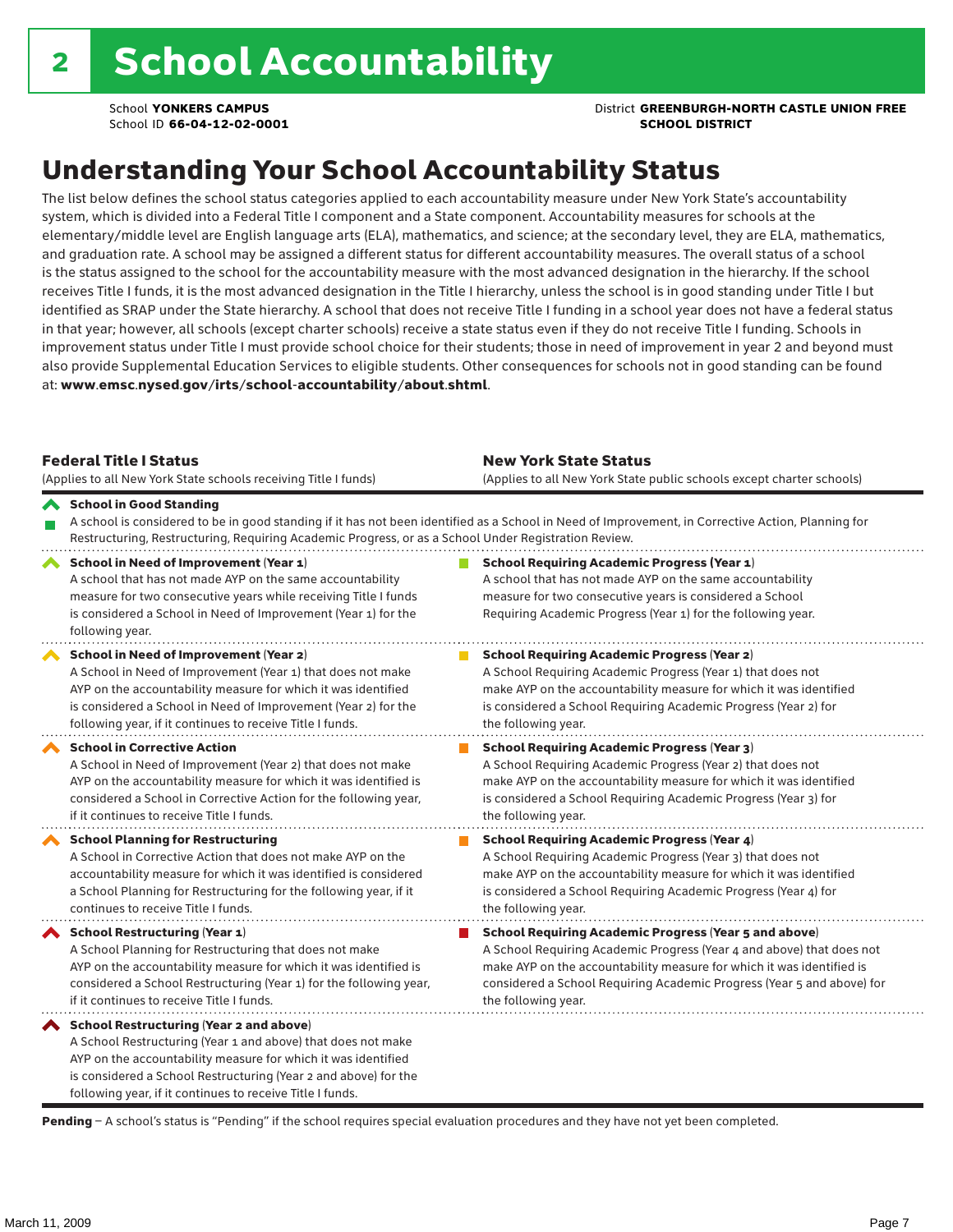**School YONKERS CAMPUS District GREENBURGH-NORTH CASTLE UNION FREE** 

## Understanding Your School Accountability Status

The list below defines the school status categories applied to each accountability measure under New York State's accountability system, which is divided into a Federal Title I component and a State component. Accountability measures for schools at the elementary/middle level are English language arts (ELA), mathematics, and science; at the secondary level, they are ELA, mathematics, and graduation rate. A school may be assigned a different status for different accountability measures. The overall status of a school is the status assigned to the school for the accountability measure with the most advanced designation in the hierarchy. If the school receives Title I funds, it is the most advanced designation in the Title I hierarchy, unless the school is in good standing under Title I but identified as SRAP under the State hierarchy. A school that does not receive Title I funding in a school year does not have a federal status in that year; however, all schools (except charter schools) receive a state status even if they do not receive Title I funding. Schools in improvement status under Title I must provide school choice for their students; those in need of improvement in year 2 and beyond must also provide Supplemental Education Services to eligible students. Other consequences for schools not in good standing can be found at: www.emsc.nysed.gov/irts/school-accountability/about.shtml.

| <b>Federal Title I Status</b><br>(Applies to all New York State schools receiving Title I funds)                                                                                                                                                                                                         | <b>New York State Status</b><br>(Applies to all New York State public schools except charter schools) |                                                                                                                                                                                                                                                                                                                 |  |  |  |
|----------------------------------------------------------------------------------------------------------------------------------------------------------------------------------------------------------------------------------------------------------------------------------------------------------|-------------------------------------------------------------------------------------------------------|-----------------------------------------------------------------------------------------------------------------------------------------------------------------------------------------------------------------------------------------------------------------------------------------------------------------|--|--|--|
| School in Good Standing<br>Restructuring, Restructuring, Requiring Academic Progress, or as a School Under Registration Review.                                                                                                                                                                          |                                                                                                       | A school is considered to be in good standing if it has not been identified as a School in Need of Improvement, in Corrective Action, Planning for                                                                                                                                                              |  |  |  |
| School in Need of Improvement (Year 1)<br>A school that has not made AYP on the same accountability<br>measure for two consecutive years while receiving Title I funds<br>is considered a School in Need of Improvement (Year 1) for the<br>following year.                                              |                                                                                                       | <b>School Requiring Academic Progress (Year 1)</b><br>A school that has not made AYP on the same accountability<br>measure for two consecutive years is considered a School<br>Requiring Academic Progress (Year 1) for the following year.                                                                     |  |  |  |
| School in Need of Improvement (Year 2)<br>A School in Need of Improvement (Year 1) that does not make<br>AYP on the accountability measure for which it was identified<br>is considered a School in Need of Improvement (Year 2) for the<br>following year, if it continues to receive Title I funds.    |                                                                                                       | <b>School Requiring Academic Progress (Year 2)</b><br>A School Requiring Academic Progress (Year 1) that does not<br>make AYP on the accountability measure for which it was identified<br>is considered a School Requiring Academic Progress (Year 2) for<br>the following year.                               |  |  |  |
| <b>School in Corrective Action</b><br>A School in Need of Improvement (Year 2) that does not make<br>AYP on the accountability measure for which it was identified is<br>considered a School in Corrective Action for the following year,<br>if it continues to receive Title I funds.                   |                                                                                                       | <b>School Requiring Academic Progress (Year 3)</b><br>A School Requiring Academic Progress (Year 2) that does not<br>make AYP on the accountability measure for which it was identified<br>is considered a School Requiring Academic Progress (Year 3) for<br>the following year.                               |  |  |  |
| <b>School Planning for Restructuring</b><br>A School in Corrective Action that does not make AYP on the<br>accountability measure for which it was identified is considered<br>a School Planning for Restructuring for the following year, if it<br>continues to receive Title I funds.                  |                                                                                                       | <b>School Requiring Academic Progress (Year 4)</b><br>A School Requiring Academic Progress (Year 3) that does not<br>make AYP on the accountability measure for which it was identified<br>is considered a School Requiring Academic Progress (Year 4) for<br>the following year.                               |  |  |  |
| <b>School Restructuring (Year 1)</b><br>A School Planning for Restructuring that does not make<br>AYP on the accountability measure for which it was identified is<br>considered a School Restructuring (Year 1) for the following year,<br>if it continues to receive Title I funds.                    |                                                                                                       | <b>School Requiring Academic Progress (Year 5 and above)</b><br>A School Requiring Academic Progress (Year 4 and above) that does not<br>make AYP on the accountability measure for which it was identified is<br>considered a School Requiring Academic Progress (Year 5 and above) for<br>the following year. |  |  |  |
| School Restructuring (Year 2 and above)<br>A School Restructuring (Year 1 and above) that does not make<br>AYP on the accountability measure for which it was identified<br>is considered a School Restructuring (Year 2 and above) for the<br>following year, if it continues to receive Title I funds. |                                                                                                       |                                                                                                                                                                                                                                                                                                                 |  |  |  |

Pending - A school's status is "Pending" if the school requires special evaluation procedures and they have not yet been completed.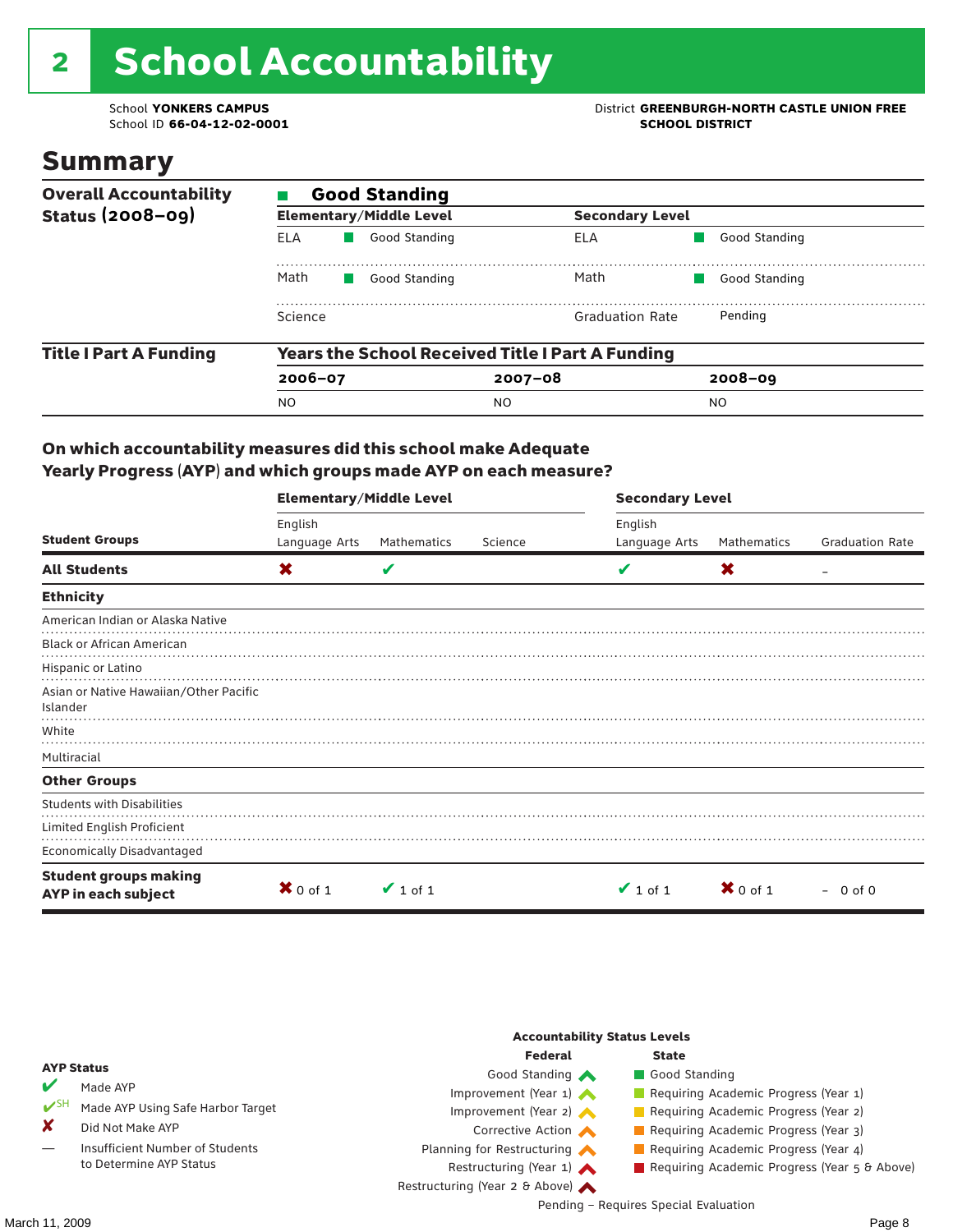# 2 School Accountability

School ID 66-04-12-02-0001

School **YONKERS CAMPUS**<br>
School ID 66-04-12-02-0001

### Summary

| <b>Overall Accountability</b><br>Status $(2008-09)$ | <b>Good Standing</b>                                    |                                |                        |               |  |  |  |
|-----------------------------------------------------|---------------------------------------------------------|--------------------------------|------------------------|---------------|--|--|--|
|                                                     |                                                         | <b>Elementary/Middle Level</b> | <b>Secondary Level</b> |               |  |  |  |
|                                                     | ELA                                                     | Good Standing                  | ELA                    | Good Standing |  |  |  |
|                                                     | Math<br>Good Standing                                   |                                | Math                   | Good Standing |  |  |  |
|                                                     | Science                                                 |                                | <b>Graduation Rate</b> | Pending       |  |  |  |
| <b>Title I Part A Funding</b>                       | <b>Years the School Received Title I Part A Funding</b> |                                |                        |               |  |  |  |
|                                                     | $2006 - 07$                                             |                                | $2007 - 08$            | $2008 - 09$   |  |  |  |
|                                                     | <b>NO</b>                                               |                                | NO.                    | NO.           |  |  |  |

#### On which accountability measures did this school make Adequate Yearly Progress (AYP) and which groups made AYP on each measure?

|                                                     | <b>Elementary/Middle Level</b> |               |         |               | <b>Secondary Level</b> |                        |  |  |
|-----------------------------------------------------|--------------------------------|---------------|---------|---------------|------------------------|------------------------|--|--|
|                                                     | English                        |               |         | English       |                        |                        |  |  |
| <b>Student Groups</b>                               | Language Arts                  | Mathematics   | Science | Language Arts | Mathematics            | <b>Graduation Rate</b> |  |  |
| <b>All Students</b>                                 | X                              | V             |         | V             | X                      |                        |  |  |
| <b>Ethnicity</b>                                    |                                |               |         |               |                        |                        |  |  |
| American Indian or Alaska Native                    |                                |               |         |               |                        |                        |  |  |
| <b>Black or African American</b>                    |                                |               |         |               |                        |                        |  |  |
| Hispanic or Latino                                  |                                |               |         |               |                        |                        |  |  |
| Asian or Native Hawaiian/Other Pacific              |                                |               |         |               |                        |                        |  |  |
| Islander                                            |                                |               |         |               |                        |                        |  |  |
| White                                               |                                |               |         |               |                        |                        |  |  |
| Multiracial                                         |                                |               |         |               |                        |                        |  |  |
| <b>Other Groups</b>                                 |                                |               |         |               |                        |                        |  |  |
| <b>Students with Disabilities</b>                   |                                |               |         |               |                        |                        |  |  |
| Limited English Proficient                          |                                |               |         |               |                        |                        |  |  |
| <b>Economically Disadvantaged</b>                   |                                |               |         |               |                        |                        |  |  |
| <b>Student groups making</b><br>AYP in each subject | $X$ 0 of 1                     | $\vee$ 1 of 1 |         | $\vee$ 1 of 1 | $X$ 0 of 1             | $-0$ of 0              |  |  |

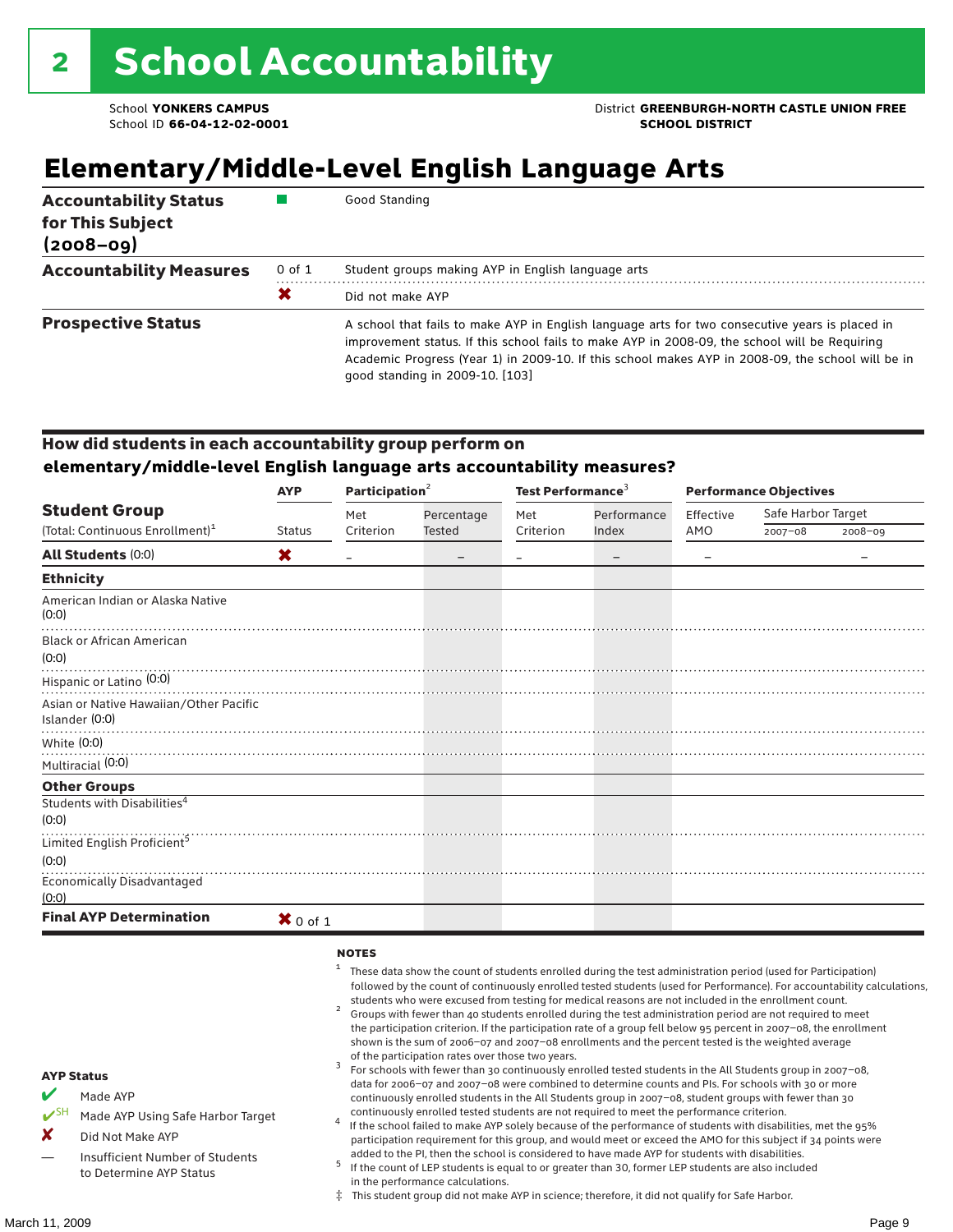## **Elementary/Middle-Level English Language Arts**

| <b>Accountability Status</b><br>for This Subject<br>$(2008 - 09)$ |            | Good Standing                                                                                                                                                                                                                                                                                                                            |
|-------------------------------------------------------------------|------------|------------------------------------------------------------------------------------------------------------------------------------------------------------------------------------------------------------------------------------------------------------------------------------------------------------------------------------------|
| <b>Accountability Measures</b>                                    | $0$ of $1$ | Student groups making AYP in English language arts                                                                                                                                                                                                                                                                                       |
|                                                                   | Х          | Did not make AYP                                                                                                                                                                                                                                                                                                                         |
| <b>Prospective Status</b>                                         |            | A school that fails to make AYP in English language arts for two consecutive years is placed in<br>improvement status. If this school fails to make AYP in 2008-09, the school will be Requiring<br>Academic Progress (Year 1) in 2009-10. If this school makes AYP in 2008-09, the school will be in<br>qood standing in 2009-10. [103] |

#### How did students in each accountability group perform on **elementary/middle-level English language arts accountability measures?**

|                                                          | <b>AYP</b>    | Participation $2$ |            | Test Performance <sup>3</sup> |             | <b>Performance Objectives</b> |                    |         |
|----------------------------------------------------------|---------------|-------------------|------------|-------------------------------|-------------|-------------------------------|--------------------|---------|
| <b>Student Group</b>                                     |               | Met               | Percentage | Met                           | Performance | Effective                     | Safe Harbor Target |         |
| (Total: Continuous Enrollment) <sup>1</sup>              | <b>Status</b> | Criterion         | Tested     | Criterion                     | Index       | AMO                           | $2007 - 08$        | 2008-09 |
| <b>All Students (0:0)</b>                                | X             |                   |            |                               |             |                               |                    |         |
| <b>Ethnicity</b>                                         |               |                   |            |                               |             |                               |                    |         |
| American Indian or Alaska Native<br>(0:0)                |               |                   |            |                               |             |                               |                    |         |
| <b>Black or African American</b><br>(0:0)                |               |                   |            |                               |             |                               |                    |         |
| Hispanic or Latino (0:0)                                 |               |                   |            |                               |             |                               |                    |         |
| Asian or Native Hawaiian/Other Pacific<br>Islander (0:0) |               |                   |            |                               |             |                               |                    |         |
| White $(0:0)$                                            |               |                   |            |                               |             |                               |                    |         |
| Multiracial (0:0)                                        |               |                   |            |                               |             |                               |                    |         |
| <b>Other Groups</b>                                      |               |                   |            |                               |             |                               |                    |         |
| Students with Disabilities <sup>4</sup><br>(0:0)         |               |                   |            |                               |             |                               |                    |         |
| Limited English Proficient <sup>5</sup>                  |               |                   |            |                               |             |                               |                    |         |
| (0:0)                                                    |               |                   |            |                               |             |                               |                    |         |
| <b>Economically Disadvantaged</b><br>(0:0)               |               |                   |            |                               |             |                               |                    |         |
| <b>Final AYP Determination</b>                           | $X$ 0 of 1    |                   |            |                               |             |                               |                    |         |

#### **NOTES**

 $1$  These data show the count of students enrolled during the test administration period (used for Participation) followed by the count of continuously enrolled tested students (used for Performance). For accountability calculations, students who were excused from testing for medical reasons are not included in the enrollment count. <sup>2</sup> Groups with fewer than 40 students enrolled during the test administration period are not required to meet the participation criterion. If the participation rate of a group fell below 95 percent in 2007–08, the enrollment shown is the sum of 2006–07 and 2007–08 enrollments and the percent tested is the weighted average of the participation rates over those two years.<br><sup>3</sup> For schools with fewer than 30 continuously enrolled tested students in the All Students group in 2007–08, data for 2006–07 and 2007–08 were combined to determine counts and PIs. For schools with 30 or more continuously enrolled students in the All Students group in 2007–08, student groups with fewer than 30 continuously enrolled tested students are not required to meet the performance criterion. <sup>4</sup> If the school failed to make AYP solely because of the performance of students with disabilities, met the 95% participation requirement for this group, and would meet or exceed the AMO for this subject if 34 points were added to the PI, then the school is considered to have made AYP for students with disabilities.  $5$  If the count of LEP students is equal to or greater than 30, former LEP students are also included in the performance calculations. ‡ This student group did not make AYP in science; therefore, it did not qualify for Safe Harbor. AYP Status Made AYP Made AYP Using Safe Harbor Target X Did Not Make AYP Insufficient Number of Students to Determine AYP Status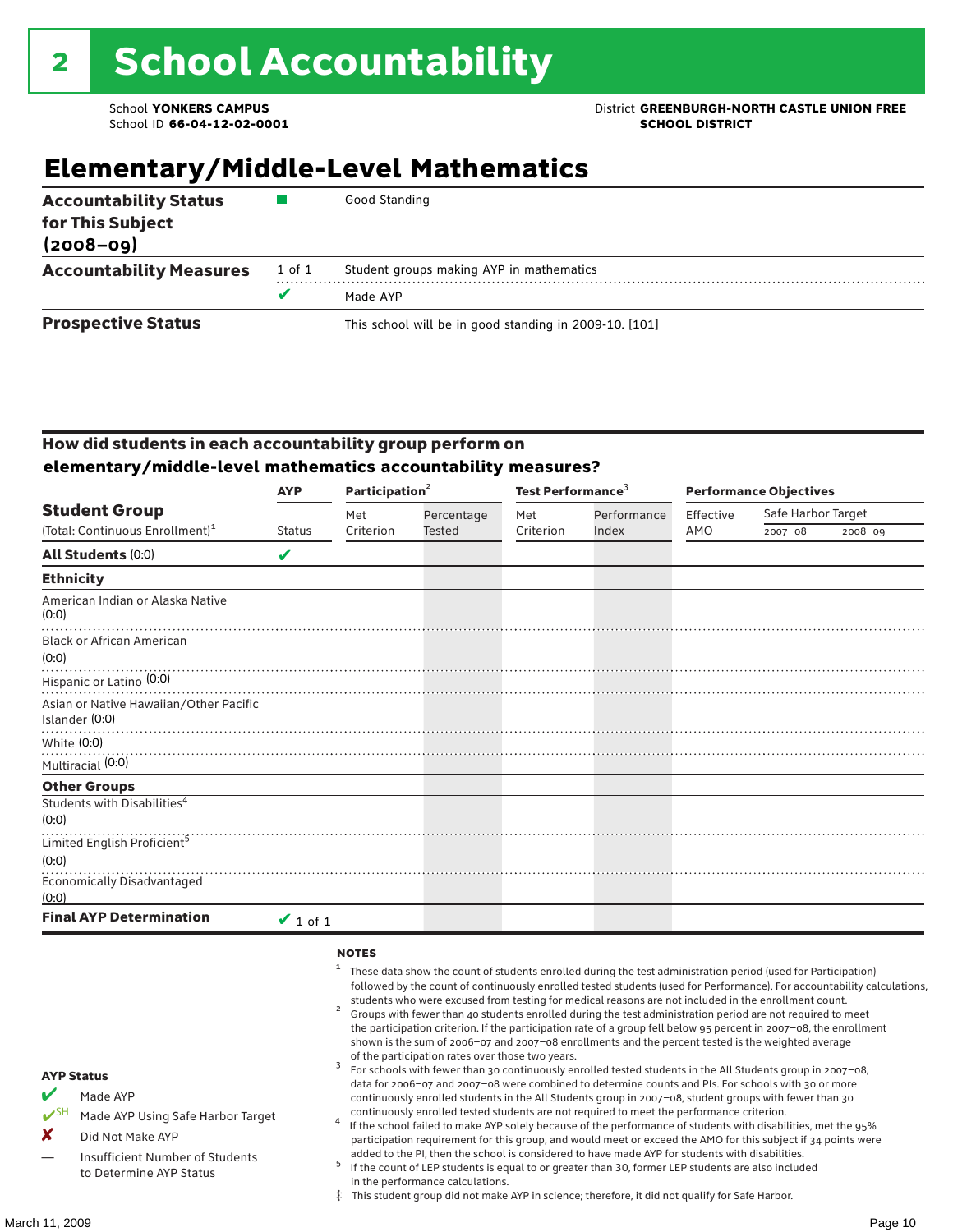### **School YONKERS CAMPUS District GREENBURGH-NORTH CASTLE UNION FREE**

## **Elementary/Middle-Level Mathematics**

| <b>Accountability Status</b><br>for This Subject<br>$(2008 - 09)$ |        | Good Standing                                          |  |  |
|-------------------------------------------------------------------|--------|--------------------------------------------------------|--|--|
| <b>Accountability Measures</b>                                    | 1 of 1 | Student groups making AYP in mathematics               |  |  |
|                                                                   | v      | Made AYP                                               |  |  |
| <b>Prospective Status</b>                                         |        | This school will be in good standing in 2009-10. [101] |  |  |

#### How did students in each accountability group perform on **elementary/middle-level mathematics accountability measures?**

|                                                          | <b>AYP</b>    | Participation $2$ |            | Test Performance <sup>3</sup> |             | <b>Performance Objectives</b> |                    |             |
|----------------------------------------------------------|---------------|-------------------|------------|-------------------------------|-------------|-------------------------------|--------------------|-------------|
| <b>Student Group</b>                                     |               | Met               | Percentage | Met                           | Performance | Effective                     | Safe Harbor Target |             |
| (Total: Continuous Enrollment) <sup>1</sup>              | <b>Status</b> | Criterion         | Tested     | Criterion                     | Index       | AMO                           | $2007 - 08$        | $2008 - 09$ |
| <b>All Students (0:0)</b>                                | V             |                   |            |                               |             |                               |                    |             |
| <b>Ethnicity</b>                                         |               |                   |            |                               |             |                               |                    |             |
| American Indian or Alaska Native<br>(0:0)                |               |                   |            |                               |             |                               |                    |             |
| <b>Black or African American</b><br>(0:0)                |               |                   |            |                               |             |                               |                    |             |
| Hispanic or Latino <sup>(0:0)</sup>                      |               |                   |            |                               |             |                               |                    |             |
| Asian or Native Hawaiian/Other Pacific<br>Islander (0:0) |               |                   |            |                               |             |                               |                    |             |
| White (0:0)                                              |               |                   |            |                               |             |                               |                    |             |
| Multiracial (0:0)                                        |               |                   |            |                               |             |                               |                    |             |
| <b>Other Groups</b>                                      |               |                   |            |                               |             |                               |                    |             |
| Students with Disabilities <sup>4</sup><br>(0:0)         |               |                   |            |                               |             |                               |                    |             |
| Limited English Proficient <sup>5</sup>                  |               |                   |            |                               |             |                               |                    |             |
| (0:0)                                                    |               |                   |            |                               |             |                               |                    |             |
| Economically Disadvantaged<br>(0:0)                      |               |                   |            |                               |             |                               |                    |             |
| <b>Final AYP Determination</b>                           | $\vee$ 1 of 1 |                   |            |                               |             |                               |                    |             |

#### **NOTES**

 $1$  These data show the count of students enrolled during the test administration period (used for Participation) followed by the count of continuously enrolled tested students (used for Performance). For accountability calculations, students who were excused from testing for medical reasons are not included in the enrollment count.<br><sup>2</sup> Groups with fewer than 40 students enrolled during the test administration period are not required to meet the participation criterion. If the participation rate of a group fell below 95 percent in 2007–08, the enrollment shown is the sum of 2006–07 and 2007–08 enrollments and the percent tested is the weighted average of the participation rates over those two years.<br><sup>3</sup> For schools with fewer than 30 continuously enrolled tested students in the All Students group in 2007–08, data for 2006–07 and 2007–08 were combined to determine counts and PIs. For schools with 30 or more continuously enrolled students in the All Students group in 2007–08, student groups with fewer than 30 continuously enrolled tested students are not required to meet the performance criterion. <sup>4</sup> If the school failed to make AYP solely because of the performance of students with disabilities, met the 95% participation requirement for this group, and would meet or exceed the AMO for this subject if 34 points were added to the PI, then the school is considered to have made AYP for students with disabilities.  $5$  If the count of LEP students is equal to or greater than 30, former LEP students are also included in the performance calculations. ‡ This student group did not make AYP in science; therefore, it did not qualify for Safe Harbor. AYP Status Made AYP Made AYP Using Safe Harbor Target X Did Not Make AYP Insufficient Number of Students to Determine AYP Status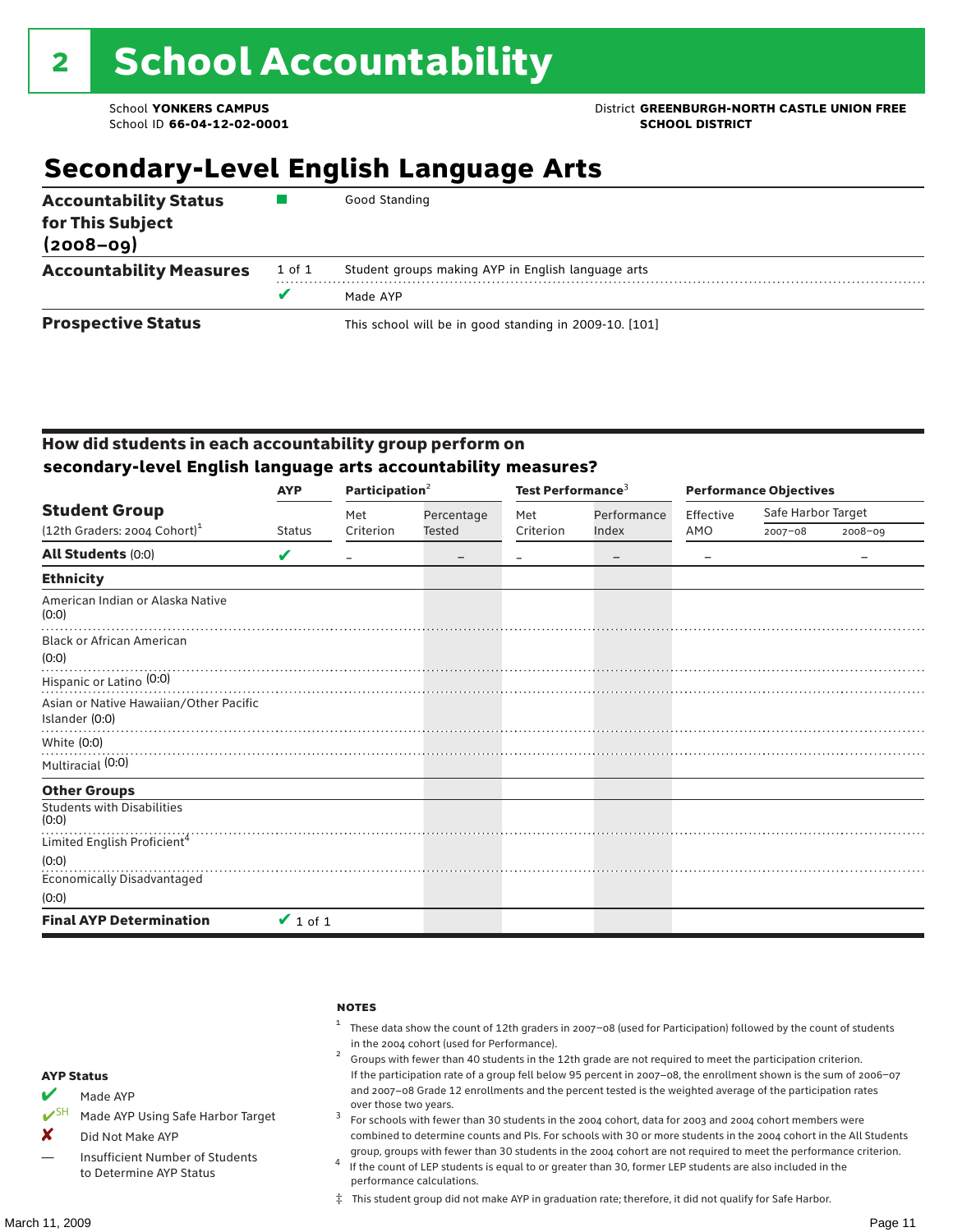### School **YONKERS CAMPUS**<br>
School ID 66-04-12-02-0001<br>
School ID 66-04-12-02-0001

## **Secondary-Level English Language Arts**

| <b>Accountability Status</b><br>for This Subject<br>$(2008 - 09)$ |        | Good Standing                                          |
|-------------------------------------------------------------------|--------|--------------------------------------------------------|
| <b>Accountability Measures</b>                                    | 1 of 1 | Student groups making AYP in English language arts     |
|                                                                   | v      | Made AYP                                               |
| <b>Prospective Status</b>                                         |        | This school will be in good standing in 2009-10. [101] |

#### How did students in each accountability group perform on **secondary-level English language arts accountability measures?**

|                                                          | <b>AYP</b>    | Participation $2$ |            | Test Performance <sup>3</sup> |             | <b>Performance Objectives</b> |                    |             |
|----------------------------------------------------------|---------------|-------------------|------------|-------------------------------|-------------|-------------------------------|--------------------|-------------|
| <b>Student Group</b>                                     |               | Met               | Percentage | Met                           | Performance | Effective                     | Safe Harbor Target |             |
| (12th Graders: 2004 Cohort) <sup>1</sup>                 | <b>Status</b> | Criterion         | Tested     | Criterion                     | Index       | AMO                           | $2007 - 08$        | $2008 - 09$ |
| <b>All Students (0:0)</b>                                | V             |                   |            |                               |             |                               |                    |             |
| <b>Ethnicity</b>                                         |               |                   |            |                               |             |                               |                    |             |
| American Indian or Alaska Native<br>(0:0)                |               |                   |            |                               |             |                               |                    |             |
| <b>Black or African American</b><br>(0:0)                |               |                   |            |                               |             |                               |                    |             |
| Hispanic or Latino <sup>(0:0)</sup>                      |               |                   |            |                               |             |                               |                    |             |
| Asian or Native Hawaiian/Other Pacific<br>Islander (0:0) |               |                   |            |                               |             |                               |                    |             |
| White (0:0)                                              |               |                   |            |                               |             |                               |                    |             |
| Multiracial (0:0)                                        |               |                   |            |                               |             |                               |                    |             |
| <b>Other Groups</b>                                      |               |                   |            |                               |             |                               |                    |             |
| <b>Students with Disabilities</b><br>(0:0)               |               |                   |            |                               |             |                               |                    |             |
| Limited English Proficient <sup>4</sup>                  |               |                   |            |                               |             |                               |                    |             |
| (0:0)<br><b>Economically Disadvantaged</b>               |               |                   |            |                               |             |                               |                    |             |
| (0:0)                                                    |               |                   |            |                               |             |                               |                    |             |
| <b>Final AYP Determination</b>                           | $\vee$ 1 of 1 |                   |            |                               |             |                               |                    |             |

|                       |                                   | <b>NOTES</b>                                                                                                                                                  |
|-----------------------|-----------------------------------|---------------------------------------------------------------------------------------------------------------------------------------------------------------|
|                       |                                   | These data show the count of 12th graders in 2007-08 (used for Participation) followed by the count of students<br>in the 2004 cohort (used for Performance). |
|                       |                                   | Groups with fewer than 40 students in the 12th grade are not required to meet the participation criterion.                                                    |
|                       | <b>AYP Status</b>                 | If the participation rate of a group fell below 95 percent in 2007-08, the enrollment shown is the sum of 2006-07                                             |
| v                     | Made AYP                          | and 2007–08 Grade 12 enrollments and the percent tested is the weighted average of the participation rates<br>over those two years.                           |
| $\boldsymbol{\nu}$ SH | Made AYP Using Safe Harbor Target | For schools with fewer than 30 students in the 2004 cohort, data for 2003 and 2004 cohort members were                                                        |
| X                     | Did Not Make AYP                  | combined to determine counts and PIs. For schools with 30 or more students in the 2004 cohort in the All Studen                                               |

Insufficient Number of Students to Determine AYP Status

- and 2007–08 Grade 12 enrollments and the percent tested is the weighted average of the participation rates over those two years.<br><sup>3</sup> For schools with fewer than 30 students in the 2004 cohort, data for 2003 and 2004 cohort members were
- in the All Students group, groups with fewer than 30 students in the 2004 cohort are not required to meet the performance criterion. <sup>4</sup> If the count of LEP students is equal to or greater than 30, former LEP students are also included in the
- performance calculations.
- ‡ This student group did not make AYP in graduation rate; therefore, it did not qualify for Safe Harbor.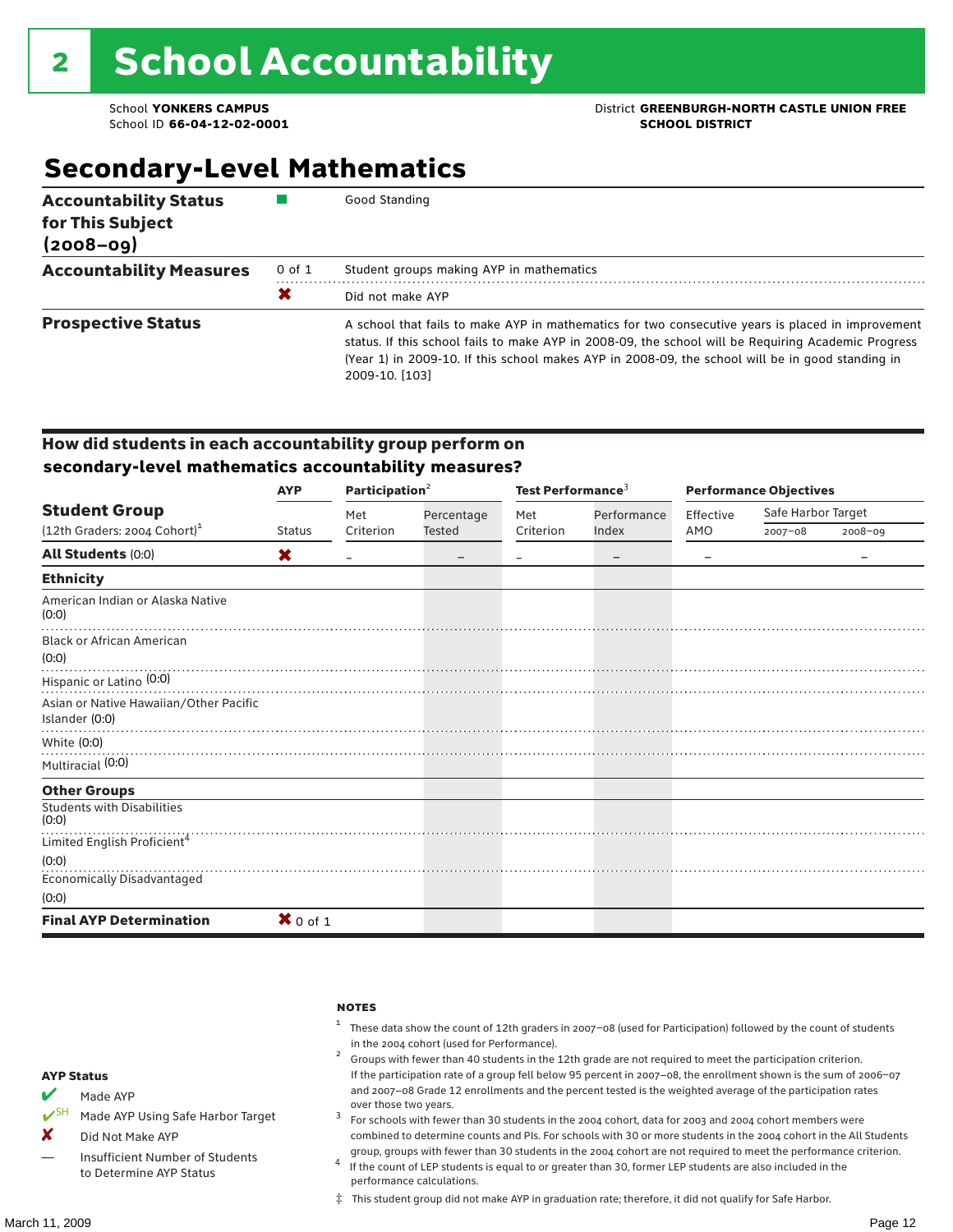School ID 66-04-12-02-0001

### School **YONKERS CAMPUS**<br>
School ID 66-04-12-02-0001

## **Secondary-Level Mathematics**

| <b>Accountability Status</b><br>for This Subject<br>$(2008 - 09)$ |        | Good Standing                                                                                                                                                                                                                                                                                                                  |
|-------------------------------------------------------------------|--------|--------------------------------------------------------------------------------------------------------------------------------------------------------------------------------------------------------------------------------------------------------------------------------------------------------------------------------|
| <b>Accountability Measures</b>                                    | 0 of 1 | Student groups making AYP in mathematics                                                                                                                                                                                                                                                                                       |
|                                                                   | X      | Did not make AYP                                                                                                                                                                                                                                                                                                               |
| <b>Prospective Status</b>                                         |        | A school that fails to make AYP in mathematics for two consecutive years is placed in improvement<br>status. If this school fails to make AYP in 2008-09, the school will be Requiring Academic Progress<br>(Year 1) in 2009-10. If this school makes AYP in 2008-09, the school will be in good standing in<br>2009-10. [103] |

#### How did students in each accountability group perform on **secondary-level mathematics accountability measures?**

|                                                          | <b>AYP</b>    | Participation <sup>2</sup> |            | Test Performance <sup>3</sup> |                   | <b>Performance Objectives</b> |                    |             |
|----------------------------------------------------------|---------------|----------------------------|------------|-------------------------------|-------------------|-------------------------------|--------------------|-------------|
| <b>Student Group</b>                                     |               | Met                        | Percentage | Met                           | Performance       | Effective                     | Safe Harbor Target |             |
| $(12th$ Graders: 2004 Cohort) <sup>1</sup>               | <b>Status</b> | Criterion                  | Tested     | Criterion                     | Index             | AMO                           | $2007 - 08$        | $2008 - 09$ |
| <b>All Students (0:0)</b>                                | X             |                            |            |                               | $\qquad \qquad -$ |                               |                    |             |
| <b>Ethnicity</b>                                         |               |                            |            |                               |                   |                               |                    |             |
| American Indian or Alaska Native<br>(0:0)                |               |                            |            |                               |                   |                               |                    |             |
| <b>Black or African American</b><br>(0:0)                |               |                            |            |                               |                   |                               |                    |             |
| Hispanic or Latino <sup>(0:0)</sup>                      |               |                            |            |                               |                   |                               |                    |             |
| Asian or Native Hawaiian/Other Pacific<br>Islander (0:0) |               |                            |            |                               |                   |                               |                    |             |
| White (0:0)                                              |               |                            |            |                               |                   |                               |                    |             |
| Multiracial (0:0)                                        |               |                            |            |                               |                   |                               |                    |             |
| <b>Other Groups</b>                                      |               |                            |            |                               |                   |                               |                    |             |
| <b>Students with Disabilities</b><br>(0:0)               |               |                            |            |                               |                   |                               |                    |             |
| Limited English Proficient <sup>4</sup>                  |               |                            |            |                               |                   |                               |                    |             |
| (0:0)                                                    |               |                            |            |                               |                   |                               |                    |             |
| Economically Disadvantaged                               |               |                            |            |                               |                   |                               |                    |             |
| (0:0)                                                    |               |                            |            |                               |                   |                               |                    |             |
| <b>Final AYP Determination</b>                           | $X$ 0 of 1    |                            |            |                               |                   |                               |                    |             |
|                                                          |               |                            |            |                               |                   |                               |                    |             |

|   |                                   | <b>NOTES</b>                                                                                                                                                  |
|---|-----------------------------------|---------------------------------------------------------------------------------------------------------------------------------------------------------------|
|   |                                   | These data show the count of 12th graders in 2007-08 (used for Participation) followed by the count of students<br>in the 2004 cohort (used for Performance). |
|   |                                   | Groups with fewer than 40 students in the 12th grade are not required to meet the participation criterion.                                                    |
|   | <b>AYP Status</b>                 | If the participation rate of a group fell below 95 percent in 2007-08, the enrollment shown is the sum of 2006-07                                             |
|   | Made AYP                          | and 2007–08 Grade 12 enrollments and the percent tested is the weighted average of the participation rates<br>over those two years.                           |
|   | Made AYP Using Safe Harbor Target | For schools with fewer than 30 students in the 2004 cohort, data for 2003 and 2004 cohort members were                                                        |
| X | Did Not Make AYP                  | combined to determine counts and PIs. For schools with 30 or more students in the 2004 cohort in the All Students                                             |

group, groups with fewer than 30 students in the 2004 cohort are not required to meet the performance criterion. <sup>4</sup> If the count of LEP students is equal to or greater than 30, former LEP students are also included in the performance calculations.

‡ This student group did not make AYP in graduation rate; therefore, it did not qualify for Safe Harbor.

Insufficient Number of Students to Determine AYP Status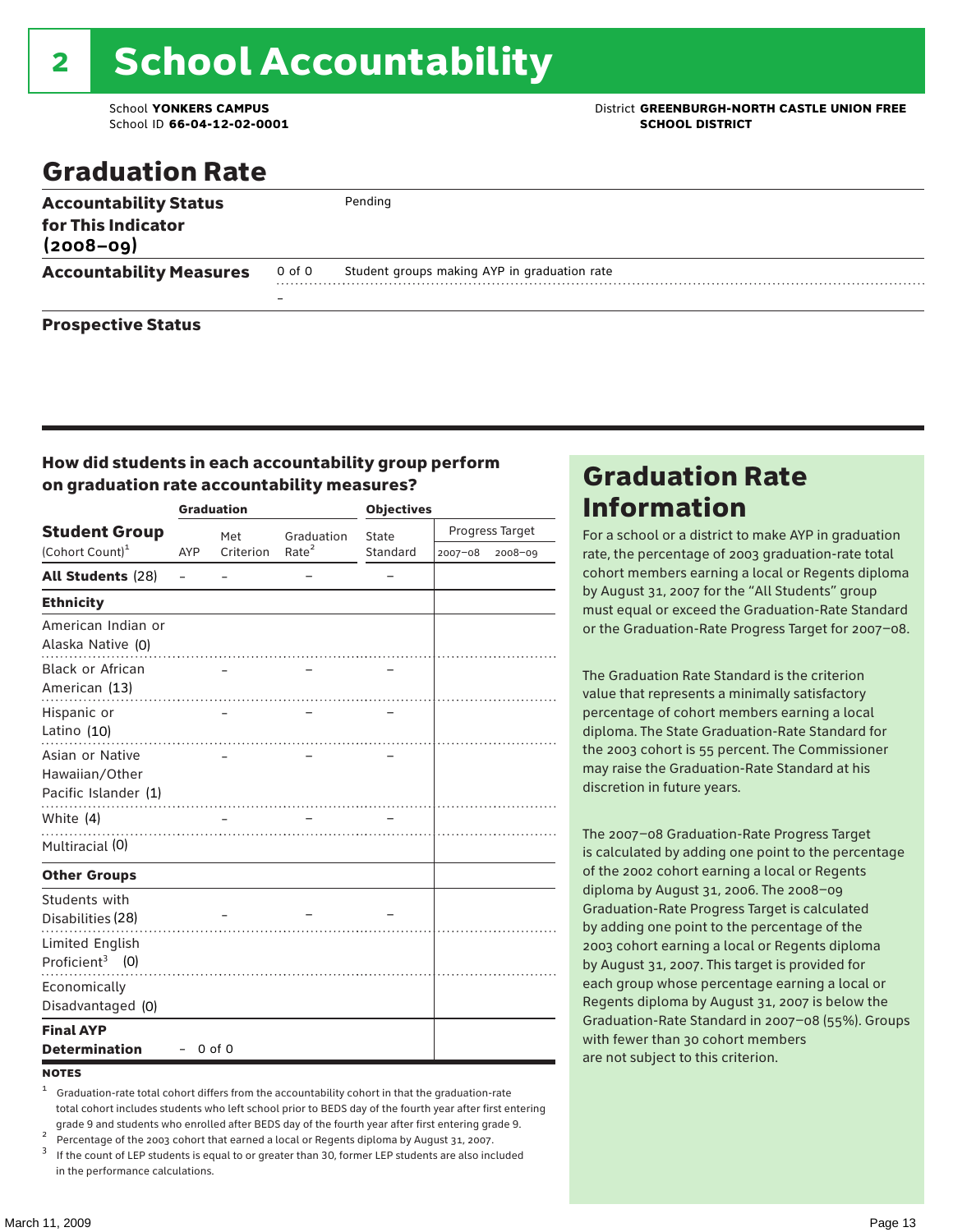# 2 School Accountability

School ID **66-04-12-02-0001 SCHOOL DISTRICT**

### School **YONKERS CAMPUS** District **GREENBURGH-NORTH CASTLE UNION FREE**

### Graduation Rate

| <b>Accountability Status</b><br>for This Indicator<br>$(2008 - 09)$ |        | Pending                                      |
|---------------------------------------------------------------------|--------|----------------------------------------------|
| <b>Accountability Measures</b>                                      | 0 of 0 | Student groups making AYP in graduation rate |
|                                                                     |        |                                              |
| <b>Prospective Status</b>                                           |        |                                              |

#### How did students in each accountability group perform on graduation rate accountability measures?

|                                                           |            | <b>Graduation</b> |                   | <b>Objectives</b> |                 |         |  |
|-----------------------------------------------------------|------------|-------------------|-------------------|-------------------|-----------------|---------|--|
| <b>Student Group</b>                                      |            | Met               | Graduation        | State             | Progress Target |         |  |
| (Cohort Count) <sup>1</sup>                               | <b>AYP</b> | Criterion         | Rate <sup>2</sup> | Standard          | $2007 - 08$     | 2008-09 |  |
| <b>All Students (28)</b>                                  |            |                   |                   |                   |                 |         |  |
| <b>Ethnicity</b>                                          |            |                   |                   |                   |                 |         |  |
| American Indian or<br>Alaska Native (0)                   |            | .                 | .                 |                   |                 |         |  |
| <b>Black or African</b><br>American (13)                  |            |                   |                   |                   |                 |         |  |
| Hispanic or<br>Latino (10)                                |            |                   |                   |                   |                 |         |  |
| Asian or Native<br>Hawaiian/Other<br>Pacific Islander (1) |            |                   |                   |                   |                 |         |  |
| White (4)                                                 |            |                   |                   |                   |                 |         |  |
| Multiracial (0)                                           |            |                   |                   |                   |                 |         |  |
| <b>Other Groups</b>                                       |            |                   |                   |                   |                 |         |  |
| Students with<br>Disabilities (28)                        |            |                   |                   |                   |                 |         |  |
| <b>Limited English</b><br>Proficient <sup>3</sup> $(0)$   |            |                   |                   |                   |                 |         |  |
| Economically<br>Disadvantaged (0)                         |            |                   |                   |                   |                 |         |  |
| <b>Final AYP</b><br><b>Determination</b>                  |            | $0$ of $0$        |                   |                   |                 |         |  |

#### **NOTES**

- <sup>1</sup> Graduation-rate total cohort differs from the accountability cohort in that the graduation-rate total cohort includes students who left school prior to BEDS day of the fourth year after first entering
- grade 9 and students who enrolled after BEDS day of the fourth year after first entering grade 9.<br>
<sup>2</sup> Percentage of the 2003 cohort that earned a local or Regents diploma by August 31, 2007.<br>
<sup>3</sup> If the count of LEP stud
- in the performance calculations.

### Graduation Rate Information

For a school or a district to make AYP in graduation rate, the percentage of 2003 graduation-rate total cohort members earning a local or Regents diploma by August 31, 2007 for the "All Students" group must equal or exceed the Graduation-Rate Standard or the Graduation-Rate Progress Target for 2007–08.

The Graduation Rate Standard is the criterion value that represents a minimally satisfactory percentage of cohort members earning a local diploma. The State Graduation-Rate Standard for the 2003 cohort is 55 percent. The Commissioner may raise the Graduation-Rate Standard at his discretion in future years.

The 2007–08 Graduation-Rate Progress Target is calculated by adding one point to the percentage of the 2002 cohort earning a local or Regents diploma by August 31, 2006. The 2008–09 Graduation-Rate Progress Target is calculated by adding one point to the percentage of the 2003 cohort earning a local or Regents diploma by August 31, 2007. This target is provided for each group whose percentage earning a local or Regents diploma by August 31, 2007 is below the Graduation-Rate Standard in 2007–08 (55%). Groups with fewer than 30 cohort members are not subject to this criterion.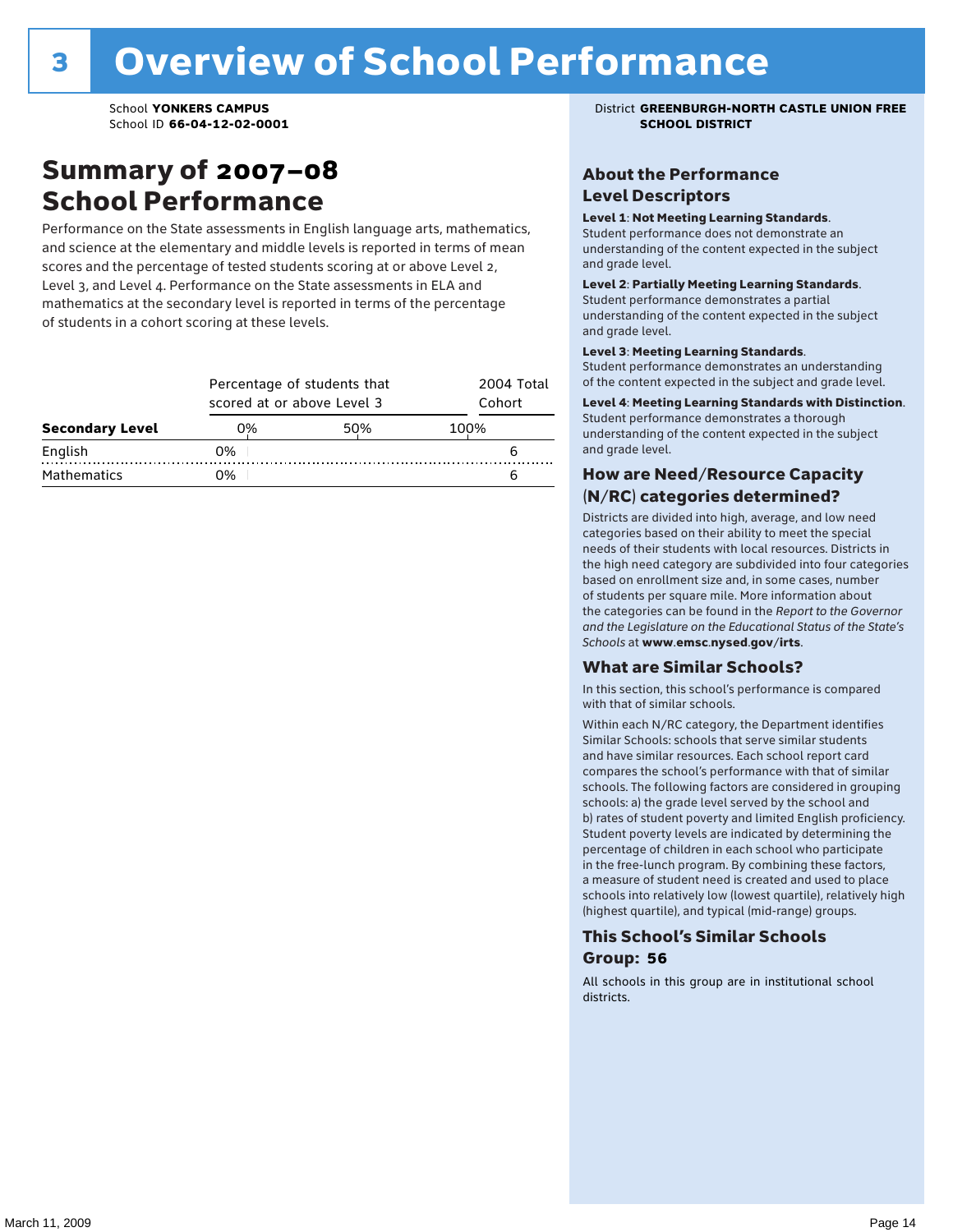### Summary of 2007–08 School Performance

Performance on the State assessments in English language arts, mathematics, and science at the elementary and middle levels is reported in terms of mean scores and the percentage of tested students scoring at or above Level 2, Level 3, and Level 4. Performance on the State assessments in ELA and mathematics at the secondary level is reported in terms of the percentage of students in a cohort scoring at these levels.

|                        |    | Percentage of students that<br>scored at or above Level 3 |      |  |  |  |  |
|------------------------|----|-----------------------------------------------------------|------|--|--|--|--|
| <b>Secondary Level</b> | 0% | 50%                                                       | 100% |  |  |  |  |
| English                | 0% |                                                           |      |  |  |  |  |
| <b>Mathematics</b>     | ገ% |                                                           |      |  |  |  |  |

School **YONKERS CAMPUS** District **GREENBURGH-NORTH CASTLE UNION FREE**

#### About the Performance Level Descriptors

#### Level 1: Not Meeting Learning Standards.

Student performance does not demonstrate an understanding of the content expected in the subject and grade level.

#### Level 2: Partially Meeting Learning Standards.

Student performance demonstrates a partial understanding of the content expected in the subject and grade level.

#### Level 3: Meeting Learning Standards.

Student performance demonstrates an understanding of the content expected in the subject and grade level.

#### Level 4: Meeting Learning Standards with Distinction.

Student performance demonstrates a thorough understanding of the content expected in the subject and grade level.

#### How are Need/Resource Capacity (N/RC) categories determined?

Districts are divided into high, average, and low need categories based on their ability to meet the special needs of their students with local resources. Districts in the high need category are subdivided into four categories based on enrollment size and, in some cases, number of students per square mile. More information about the categories can be found in the *Report to the Governor and the Legislature on the Educational Status of the State's Schools* at www.emsc.nysed.gov/irts.

#### What are Similar Schools?

In this section, this school's performance is compared with that of similar schools.

Within each N/RC category, the Department identifies Similar Schools: schools that serve similar students and have similar resources. Each school report card compares the school's performance with that of similar schools. The following factors are considered in grouping schools: a) the grade level served by the school and b) rates of student poverty and limited English proficiency. Student poverty levels are indicated by determining the percentage of children in each school who participate in the free-lunch program. By combining these factors, a measure of student need is created and used to place schools into relatively low (lowest quartile), relatively high (highest quartile), and typical (mid-range) groups.

#### This School's Similar Schools Group: **56**

All schools in this group are in institutional school districts.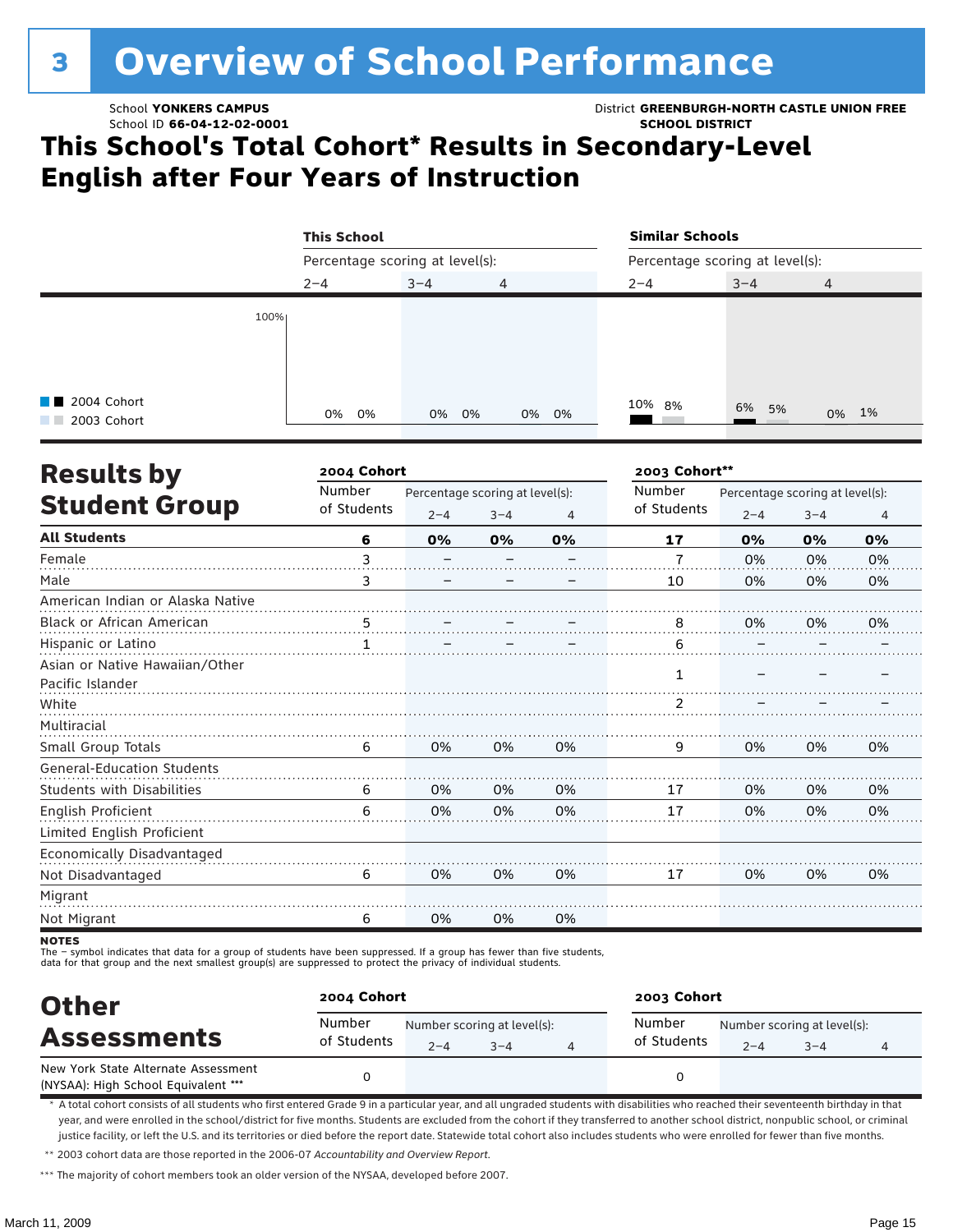# <sup>3</sup> Overview of School Performance

School ID **66-04-12-02-0001 SCHOOL DISTRICT**

School **YONKERS CAMPUS** District **GREENBURGH-NORTH CASTLE UNION FREE**

### **This School's Total Cohort\* Results in Secondary-Level English after Four Years of Instruction**

|                                      | <b>This School</b>              |         |       | <b>Similar Schools</b><br>Percentage scoring at level(s): |         |                |  |
|--------------------------------------|---------------------------------|---------|-------|-----------------------------------------------------------|---------|----------------|--|
|                                      | Percentage scoring at level(s): |         |       |                                                           |         |                |  |
|                                      | $2 - 4$                         | $3 - 4$ | 4     | $2 - 4$                                                   | $3 - 4$ | $\overline{4}$ |  |
| 100%                                 |                                 |         |       |                                                           |         |                |  |
|                                      |                                 |         |       |                                                           |         |                |  |
| <b>TE</b> 2004 Cohort<br>2003 Cohort | 0%<br>0%                        | 0% 0%   | 0% 0% | 10% 8%                                                    | 6% 5%   | 0% 1%          |  |

| <b>Results by</b>                 | 2004 Cohort |                                 |         | 2003 Cohort** |                       |                                 |         |    |  |
|-----------------------------------|-------------|---------------------------------|---------|---------------|-----------------------|---------------------------------|---------|----|--|
|                                   | Number      | Percentage scoring at level(s): |         |               | Number<br>of Students | Percentage scoring at level(s): |         |    |  |
| <b>Student Group</b>              | of Students | $2 - 4$                         | $3 - 4$ | 4             |                       | $2 - 4$                         | $3 - 4$ | 4  |  |
| <b>All Students</b>               | 6           | 0%                              | 0%      | 0%            | 17                    | 0%                              | 0%      | 0% |  |
| Female                            | 3           |                                 |         |               | $\overline{7}$        | 0%                              | 0%      | 0% |  |
| Male                              | 3           |                                 |         |               | 10                    | 0%                              | 0%      | 0% |  |
| American Indian or Alaska Native  |             |                                 |         |               |                       |                                 |         |    |  |
| <b>Black or African American</b>  | . 5         |                                 |         |               | 8                     | 0%                              | 0%      | 0% |  |
| Hispanic or Latino                |             |                                 |         |               | 6                     |                                 |         |    |  |
| Asian or Native Hawaiian/Other    |             |                                 |         |               |                       |                                 |         |    |  |
| Pacific Islander                  |             |                                 |         |               | 1                     |                                 |         |    |  |
| White                             |             |                                 |         |               | $\overline{2}$        |                                 |         |    |  |
| Multiracial                       |             |                                 |         |               |                       |                                 |         |    |  |
| Small Group Totals                | 6           | 0%                              | 0%      | 0%            | 9                     | 0%                              | 0%      | 0% |  |
| <b>General-Education Students</b> |             |                                 |         |               |                       |                                 |         |    |  |
| <b>Students with Disabilities</b> | 6           | 0%                              | 0%      | 0%            | 17                    | 0%                              | 0%      | 0% |  |
| English Proficient                | 6           | 0%                              | 0%      | 0%            | 17                    | 0%                              | 0%      | 0% |  |
| Limited English Proficient        |             |                                 |         |               |                       |                                 |         |    |  |
| Economically Disadvantaged        |             |                                 |         |               |                       |                                 |         |    |  |
| Not Disadvantaged                 | 6           | 0%                              | 0%      | 0%            | 17                    | 0%                              | 0%      | 0% |  |
| Migrant                           |             |                                 |         |               |                       |                                 |         |    |  |
| Not Migrant                       | 6           | 0%                              | 0%      | 0%            |                       |                                 |         |    |  |

**NOTES** 

The – symbol indicates that data for a group of students have been suppressed. If a group has fewer than five students,

data for that group and the next smallest group(s) are suppressed to protect the privacy of individual students.

| <b>Other</b><br><b>Assessments</b>                                         | 2004 Cohort           | 2003 Cohort                                       |  |                       |         |                                        |   |
|----------------------------------------------------------------------------|-----------------------|---------------------------------------------------|--|-----------------------|---------|----------------------------------------|---|
|                                                                            | Number<br>of Students | Number scoring at level(s):<br>$2 - 4$<br>$3 - 4$ |  | Number<br>of Students | $2 - 4$ | Number scoring at level(s):<br>$3 - 4$ | 4 |
| New York State Alternate Assessment<br>(NYSAA): High School Equivalent *** |                       |                                                   |  |                       |         |                                        |   |

\* A total cohort consists of all students who first entered Grade 9 in a particular year, and all ungraded students with disabilities who reached their seventeenth birthday in that year, and were enrolled in the school/district for five months. Students are excluded from the cohort if they transferred to another school district, nonpublic school, or criminal justice facility, or left the U.S. and its territories or died before the report date. Statewide total cohort also includes students who were enrolled for fewer than five months.

\*\* 2003 cohort data are those reported in the 2006-07 *Accountability and Overview Report*.

\*\*\* The majority of cohort members took an older version of the NYSAA, developed before 2007.